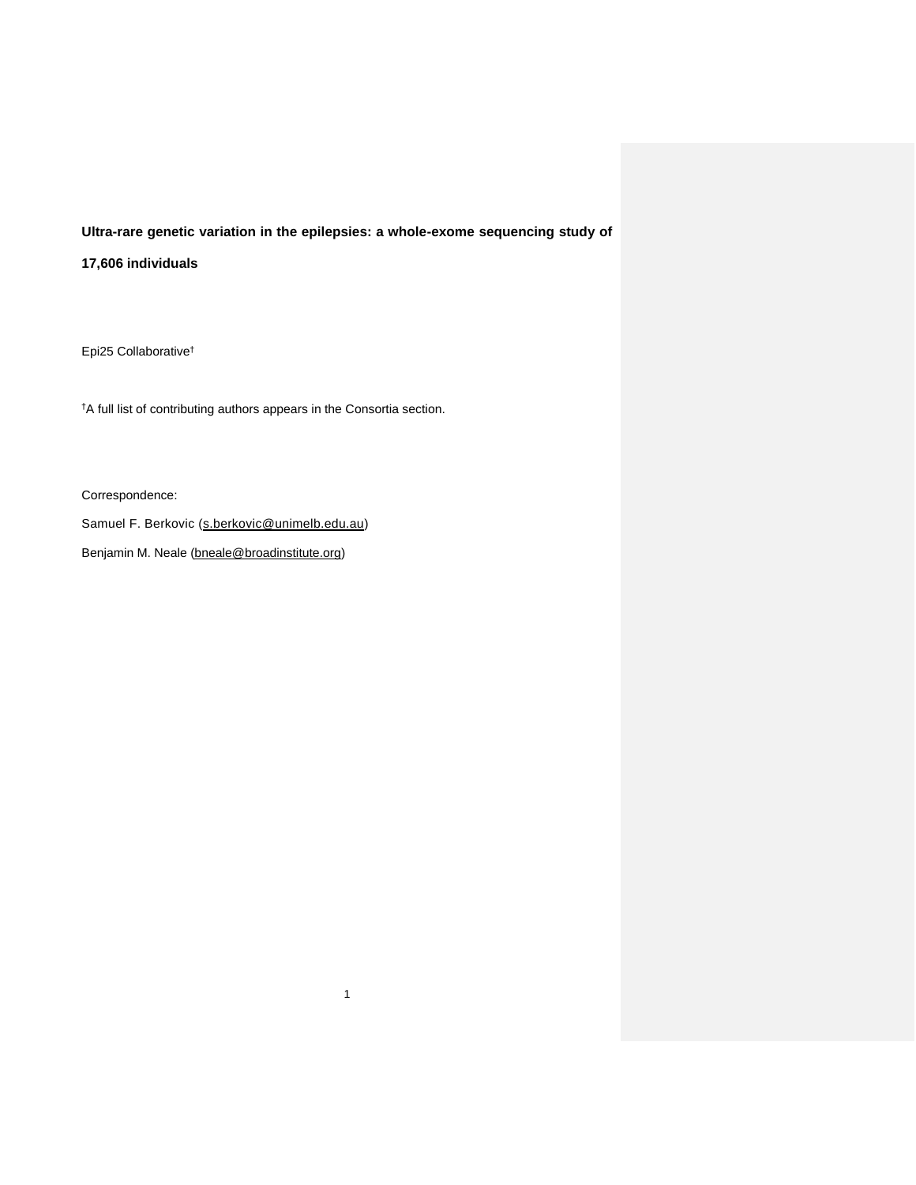## **Ultra-rare genetic variation in the epilepsies: a whole-exome sequencing study of**

1

**17,606 individuals**

Epi25 Collaborative†

†A full list of contributing authors appears in the Consortia section.

Correspondence:

Samuel F. Berkovic [\(s.berkovic@unimelb.edu.au\)](mailto:s.berkovic@unimelb.edu.au)

Benjamin M. Neale [\(bneale@broadinstitute.org\)](mailto:bneale@broadinstitute.org)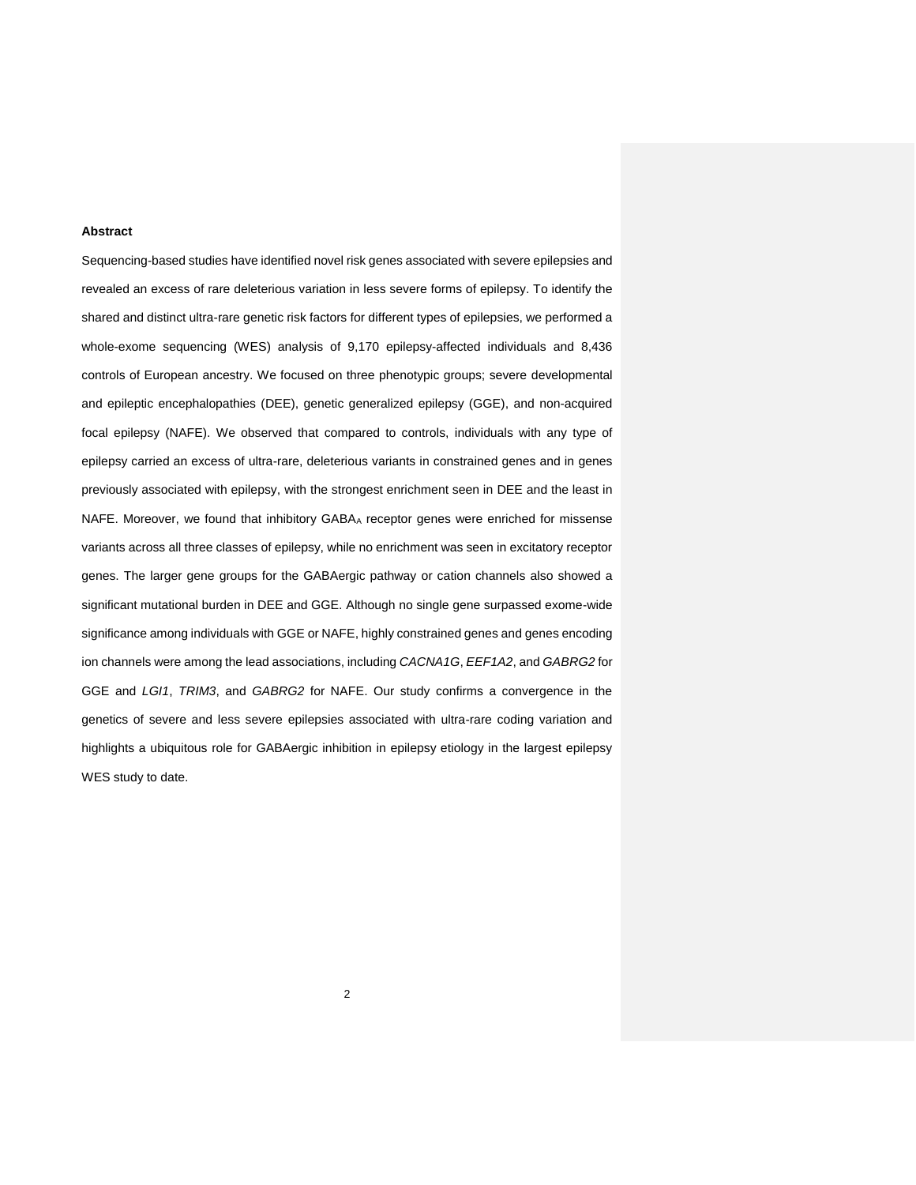## **Abstract**

Sequencing-based studies have identified novel risk genes associated with severe epilepsies and revealed an excess of rare deleterious variation in less severe forms of epilepsy. To identify the shared and distinct ultra-rare genetic risk factors for different types of epilepsies, we performed a whole-exome sequencing (WES) analysis of 9,170 epilepsy-affected individuals and 8,436 controls of European ancestry. We focused on three phenotypic groups; severe developmental and epileptic encephalopathies (DEE), genetic generalized epilepsy (GGE), and non-acquired focal epilepsy (NAFE). We observed that compared to controls, individuals with any type of epilepsy carried an excess of ultra-rare, deleterious variants in constrained genes and in genes previously associated with epilepsy, with the strongest enrichment seen in DEE and the least in NAFE. Moreover, we found that inhibitory GABAA receptor genes were enriched for missense variants across all three classes of epilepsy, while no enrichment was seen in excitatory receptor genes. The larger gene groups for the GABAergic pathway or cation channels also showed a significant mutational burden in DEE and GGE. Although no single gene surpassed exome-wide significance among individuals with GGE or NAFE, highly constrained genes and genes encoding ion channels were among the lead associations, including *CACNA1G*, *EEF1A2*, and *GABRG2* for GGE and *LGI1*, *TRIM3*, and *GABRG2* for NAFE. Our study confirms a convergence in the genetics of severe and less severe epilepsies associated with ultra-rare coding variation and highlights a ubiquitous role for GABAergic inhibition in epilepsy etiology in the largest epilepsy WES study to date.

2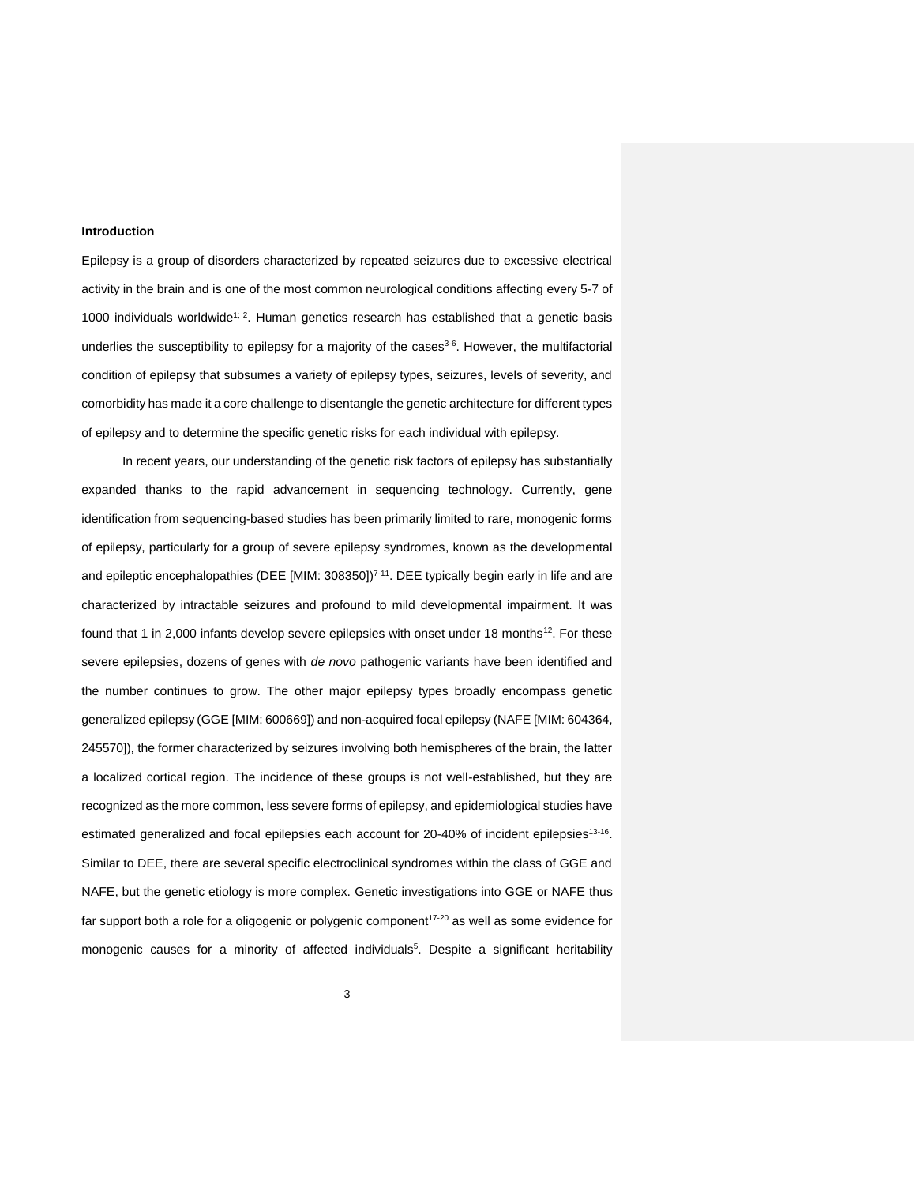#### **Introduction**

Epilepsy is a group of disorders characterized by repeated seizures due to excessive electrical activity in the brain and is one of the most common neurological conditions affecting every 5-7 of 1000 individuals worldwide<sup>[1;](#page-29-0) [2](#page-29-1)</sup>. Human genetics research has established that a genetic basis underlies the susceptibility to epilepsy for a majority of the cases $3-6$ . However, the multifactorial condition of epilepsy that subsumes a variety of epilepsy types, seizures, levels of severity, and comorbidity has made it a core challenge to disentangle the genetic architecture for different types of epilepsy and to determine the specific genetic risks for each individual with epilepsy.

In recent years, our understanding of the genetic risk factors of epilepsy has substantially expanded thanks to the rapid advancement in sequencing technology. Currently, gene identification from sequencing-based studies has been primarily limited to rare, monogenic forms of epilepsy, particularly for a group of severe epilepsy syndromes, known as the developmental and epileptic encephalopathies (DEE [MIM: 308350])<sup>[7-11](#page-29-3)</sup>. DEE typically begin early in life and are characterized by intractable seizures and profound to mild developmental impairment. It was found that 1 in 2,000 infants develop severe epilepsies with onset under 18 months<sup>[12](#page-29-4)</sup>. For these severe epilepsies, dozens of genes with *de novo* pathogenic variants have been identified and the number continues to grow. The other major epilepsy types broadly encompass genetic generalized epilepsy (GGE [MIM: 600669]) and non-acquired focal epilepsy (NAFE [MIM: 604364, 245570]), the former characterized by seizures involving both hemispheres of the brain, the latter a localized cortical region. The incidence of these groups is not well-established, but they are recognized as the more common, less severe forms of epilepsy, and epidemiological studies have estimated generalized and focal epilepsies each account for 20-40% of incident epilepsies<sup>[13-16](#page-29-5)</sup>. Similar to DEE, there are several specific electroclinical syndromes within the class of GGE and NAFE, but the genetic etiology is more complex. Genetic investigations into GGE or NAFE thus far support both a role for a oligogenic or polygenic component<sup>[17-20](#page-29-6)</sup> as well as some evidence for monogenic causes for a minority of affected individuals<sup>[5](#page-29-7)</sup>. Despite a significant heritability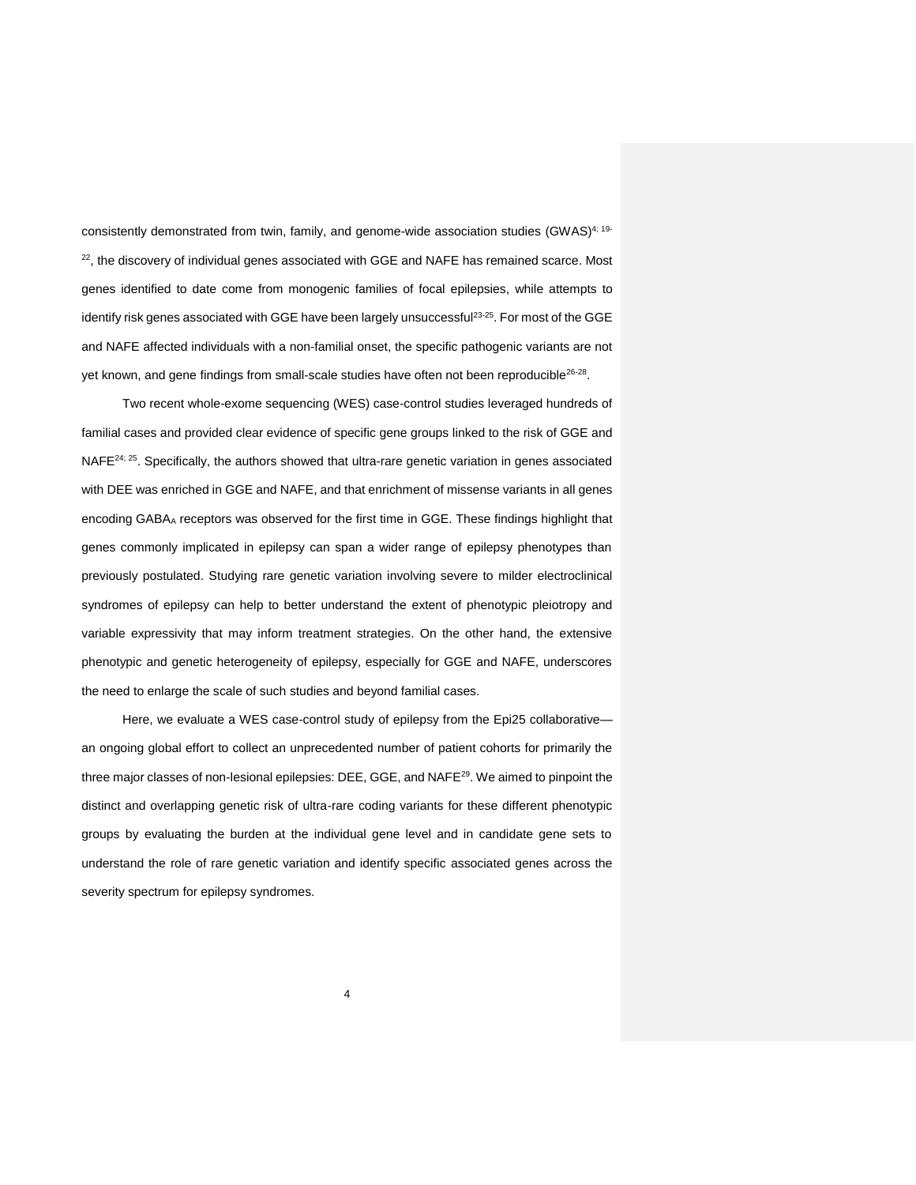consistently demonstrated from twin, family, and genome-wide association studies  $(GWAS)^{4;19-}$  $(GWAS)^{4;19-}$  $(GWAS)^{4;19-}$  $22$ , the discovery of individual genes associated with GGE and NAFE has remained scarce. Most genes identified to date come from monogenic families of focal epilepsies, while attempts to identify risk genes associated with GGE have been largely unsuccessful<sup>[23-25](#page-30-0)</sup>. For most of the GGE and NAFE affected individuals with a non-familial onset, the specific pathogenic variants are not yet known, and gene findings from small-scale studies have often not been reproducible<sup>[26-28](#page-30-1)</sup>.

Two recent whole-exome sequencing (WES) case-control studies leveraged hundreds of familial cases and provided clear evidence of specific gene groups linked to the risk of GGE and NAFE $^{24;25}$  $^{24;25}$  $^{24;25}$ . Specifically, the authors showed that ultra-rare genetic variation in genes associated with DEE was enriched in GGE and NAFE, and that enrichment of missense variants in all genes encoding GABAA receptors was observed for the first time in GGE. These findings highlight that genes commonly implicated in epilepsy can span a wider range of epilepsy phenotypes than previously postulated. Studying rare genetic variation involving severe to milder electroclinical syndromes of epilepsy can help to better understand the extent of phenotypic pleiotropy and variable expressivity that may inform treatment strategies. On the other hand, the extensive phenotypic and genetic heterogeneity of epilepsy, especially for GGE and NAFE, underscores the need to enlarge the scale of such studies and beyond familial cases.

Here, we evaluate a WES case-control study of epilepsy from the Epi25 collaborative an ongoing global effort to collect an unprecedented number of patient cohorts for primarily the three major classes of non-lesional epilepsies: DEE, GGE, and NAFE<sup>[29](#page-30-4)</sup>. We aimed to pinpoint the distinct and overlapping genetic risk of ultra-rare coding variants for these different phenotypic groups by evaluating the burden at the individual gene level and in candidate gene sets to understand the role of rare genetic variation and identify specific associated genes across the severity spectrum for epilepsy syndromes.

4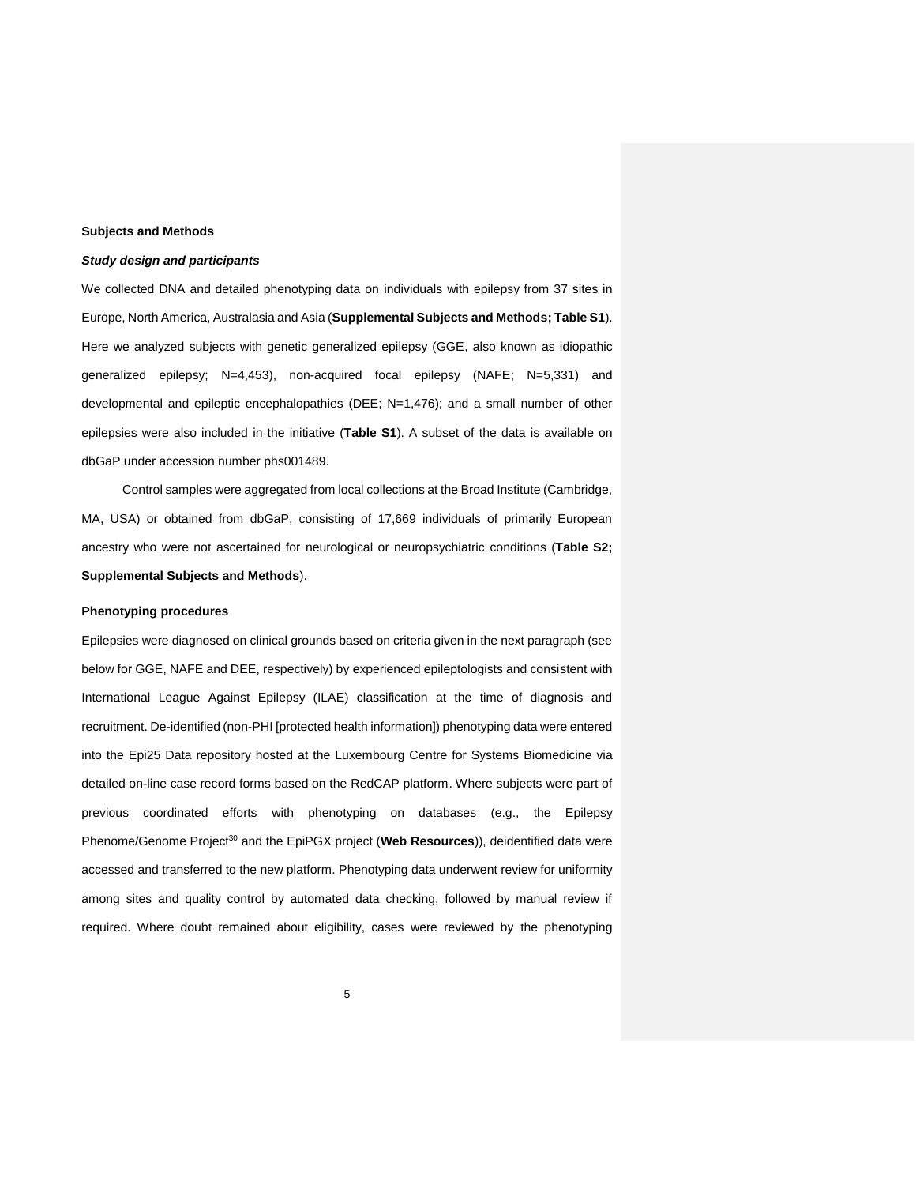## **Subjects and Methods**

#### *Study design and participants*

We collected DNA and detailed phenotyping data on individuals with epilepsy from 37 sites in Europe, North America, Australasia and Asia (**Supplemental Subjects and Methods; Table S1**). Here we analyzed subjects with genetic generalized epilepsy (GGE, also known as idiopathic generalized epilepsy; N=4,453), non-acquired focal epilepsy (NAFE; N=5,331) and developmental and epileptic encephalopathies (DEE; N=1,476); and a small number of other epilepsies were also included in the initiative (**Table S1**). A subset of the data is available on dbGaP under accession number phs001489.

Control samples were aggregated from local collections at the Broad Institute (Cambridge, MA, USA) or obtained from dbGaP, consisting of 17,669 individuals of primarily European ancestry who were not ascertained for neurological or neuropsychiatric conditions (**Table S2; Supplemental Subjects and Methods**).

#### **Phenotyping procedures**

Epilepsies were diagnosed on clinical grounds based on criteria given in the next paragraph (see below for GGE, NAFE and DEE, respectively) by experienced epileptologists and consistent with International League Against Epilepsy (ILAE) classification at the time of diagnosis and recruitment. De-identified (non-PHI [protected health information]) phenotyping data were entered into the Epi25 Data repository hosted at the Luxembourg Centre for Systems Biomedicine via detailed on-line case record forms based on the RedCAP platform. Where subjects were part of previous coordinated efforts with phenotyping on databases (e.g., the Epilepsy Phenome/Genome Project<sup>[30](#page-30-5)</sup> and the EpiPGX project (Web Resources)), deidentified data were accessed and transferred to the new platform. Phenotyping data underwent review for uniformity among sites and quality control by automated data checking, followed by manual review if required. Where doubt remained about eligibility, cases were reviewed by the phenotyping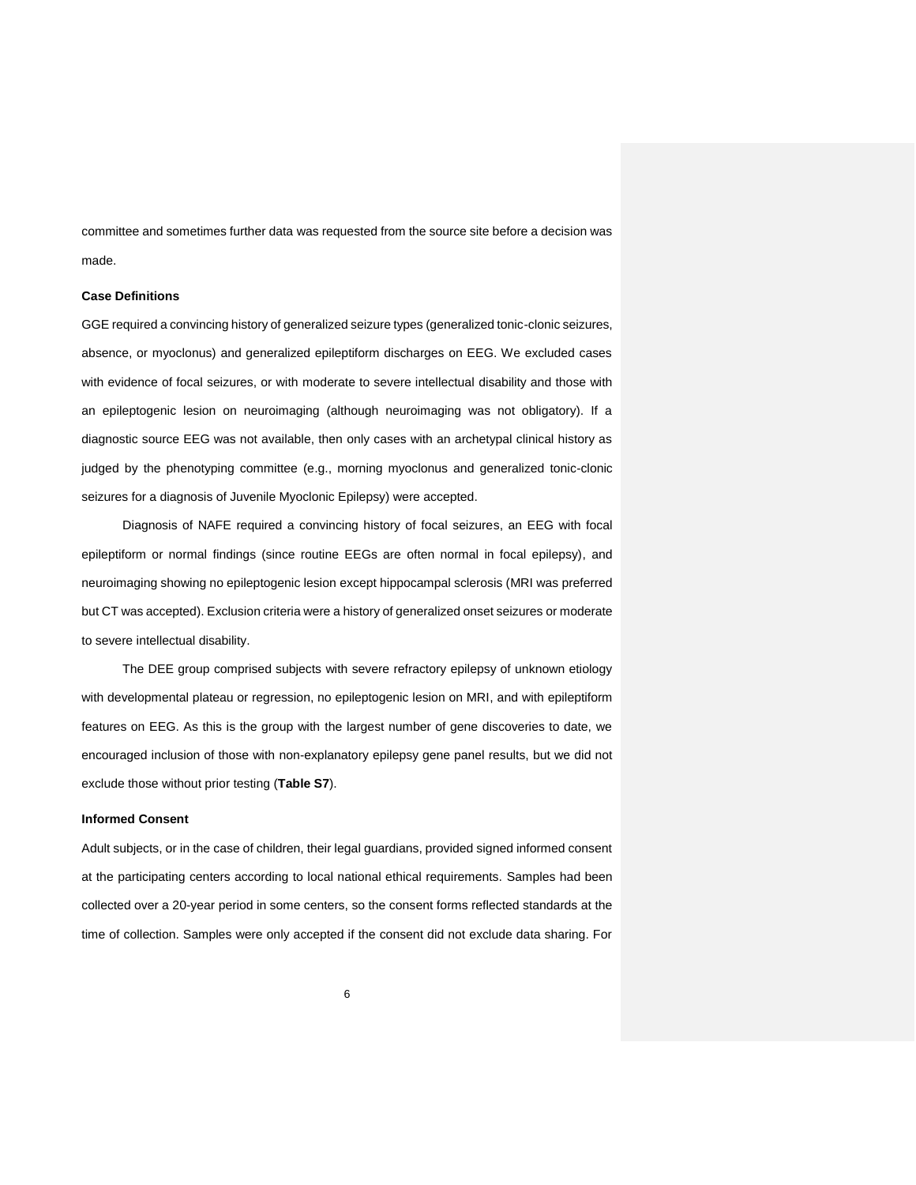committee and sometimes further data was requested from the source site before a decision was made.

## **Case Definitions**

GGE required a convincing history of generalized seizure types (generalized tonic-clonic seizures, absence, or myoclonus) and generalized epileptiform discharges on EEG. We excluded cases with evidence of focal seizures, or with moderate to severe intellectual disability and those with an epileptogenic lesion on neuroimaging (although neuroimaging was not obligatory). If a diagnostic source EEG was not available, then only cases with an archetypal clinical history as judged by the phenotyping committee (e.g., morning myoclonus and generalized tonic-clonic seizures for a diagnosis of Juvenile Myoclonic Epilepsy) were accepted.

Diagnosis of NAFE required a convincing history of focal seizures, an EEG with focal epileptiform or normal findings (since routine EEGs are often normal in focal epilepsy), and neuroimaging showing no epileptogenic lesion except hippocampal sclerosis (MRI was preferred but CT was accepted). Exclusion criteria were a history of generalized onset seizures or moderate to severe intellectual disability.

The DEE group comprised subjects with severe refractory epilepsy of unknown etiology with developmental plateau or regression, no epileptogenic lesion on MRI, and with epileptiform features on EEG. As this is the group with the largest number of gene discoveries to date, we encouraged inclusion of those with non-explanatory epilepsy gene panel results, but we did not exclude those without prior testing (**Table S7**).

## **Informed Consent**

Adult subjects, or in the case of children, their legal guardians, provided signed informed consent at the participating centers according to local national ethical requirements. Samples had been collected over a 20-year period in some centers, so the consent forms reflected standards at the time of collection. Samples were only accepted if the consent did not exclude data sharing. For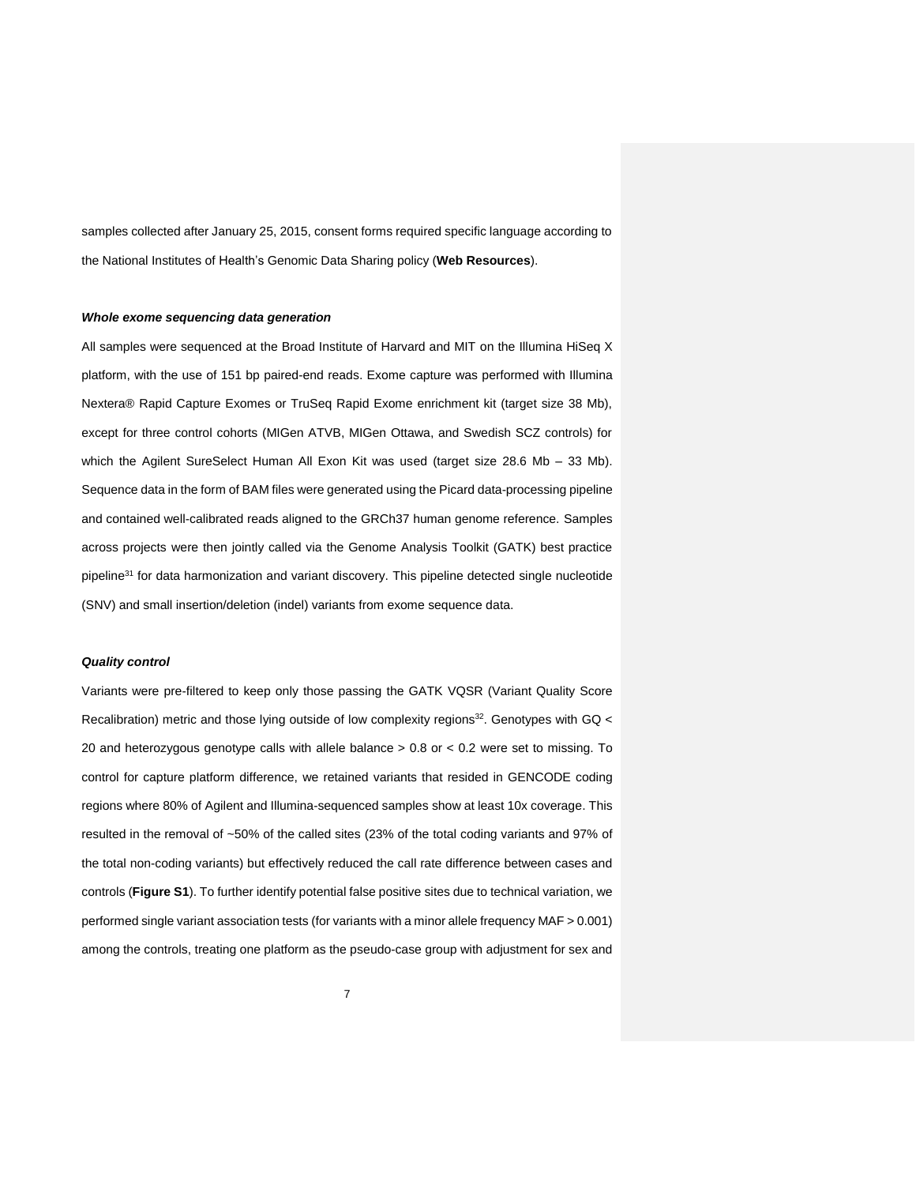samples collected after January 25, 2015, consent forms required specific language according to the National Institutes of Health's Genomic Data Sharing policy (**Web Resources**).

## *Whole exome sequencing data generation*

All samples were sequenced at the Broad Institute of Harvard and MIT on the Illumina HiSeq X platform, with the use of 151 bp paired-end reads. Exome capture was performed with Illumina Nextera® Rapid Capture Exomes or TruSeq Rapid Exome enrichment kit (target size 38 Mb), except for three control cohorts (MIGen ATVB, MIGen Ottawa, and Swedish SCZ controls) for which the Agilent SureSelect Human All Exon Kit was used (target size 28.6 Mb – 33 Mb). Sequence data in the form of BAM files were generated using the Picard data-processing pipeline and contained well-calibrated reads aligned to the GRCh37 human genome reference. Samples across projects were then jointly called via the Genome Analysis Toolkit (GATK) best practice pipeline<sup>[31](#page-30-6)</sup> for data harmonization and variant discovery. This pipeline detected single nucleotide (SNV) and small insertion/deletion (indel) variants from exome sequence data.

## *Quality control*

Variants were pre-filtered to keep only those passing the GATK VQSR (Variant Quality Score Recalibration) metric and those lying outside of low complexity regions<sup>[32](#page-30-7)</sup>. Genotypes with GQ < 20 and heterozygous genotype calls with allele balance  $> 0.8$  or  $< 0.2$  were set to missing. To control for capture platform difference, we retained variants that resided in GENCODE coding regions where 80% of Agilent and Illumina-sequenced samples show at least 10x coverage. This resulted in the removal of ~50% of the called sites (23% of the total coding variants and 97% of the total non-coding variants) but effectively reduced the call rate difference between cases and controls (**Figure S1**). To further identify potential false positive sites due to technical variation, we performed single variant association tests (for variants with a minor allele frequency MAF > 0.001) among the controls, treating one platform as the pseudo-case group with adjustment for sex and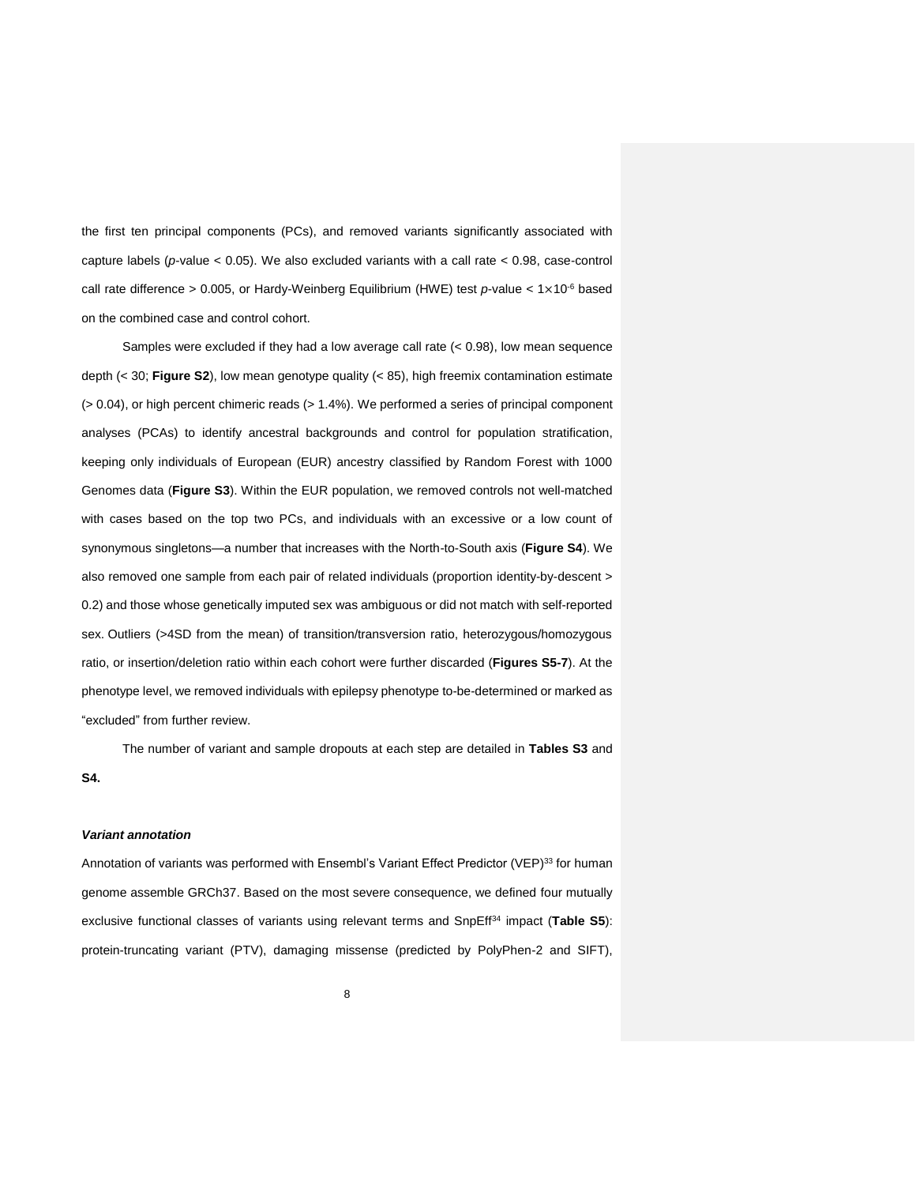the first ten principal components (PCs), and removed variants significantly associated with capture labels (*p*-value < 0.05). We also excluded variants with a call rate < 0.98, case-control call rate difference > 0.005, or Hardy-Weinberg Equilibrium (HWE) test *p*-value < 1×10-6 based on the combined case and control cohort.

Samples were excluded if they had a low average call rate (< 0.98), low mean sequence depth (< 30; **Figure S2**), low mean genotype quality (< 85), high freemix contamination estimate (> 0.04), or high percent chimeric reads (> 1.4%). We performed a series of principal component analyses (PCAs) to identify ancestral backgrounds and control for population stratification, keeping only individuals of European (EUR) ancestry classified by Random Forest with 1000 Genomes data (**Figure S3**). Within the EUR population, we removed controls not well-matched with cases based on the top two PCs, and individuals with an excessive or a low count of synonymous singletons—a number that increases with the North-to-South axis (**Figure S4**). We also removed one sample from each pair of related individuals (proportion identity-by-descent > 0.2) and those whose genetically imputed sex was ambiguous or did not match with self-reported sex. Outliers (>4SD from the mean) of transition/transversion ratio, heterozygous/homozygous ratio, or insertion/deletion ratio within each cohort were further discarded (**Figures S5-7**). At the phenotype level, we removed individuals with epilepsy phenotype to-be-determined or marked as "excluded" from further review.

The number of variant and sample dropouts at each step are detailed in **Tables S3** and **S4.** 

## *Variant annotation*

Annotation of variants was performed with Ensembl's Variant Effect Predictor (VEP)<sup>[33](#page-30-8)</sup> for human genome assemble GRCh37. Based on the most severe consequence, we defined four mutually exclusive functional classes of variants using relevant terms and SnpEff<sup>[34](#page-30-9)</sup> impact (Table S5): protein-truncating variant (PTV), damaging missense (predicted by PolyPhen-2 and SIFT),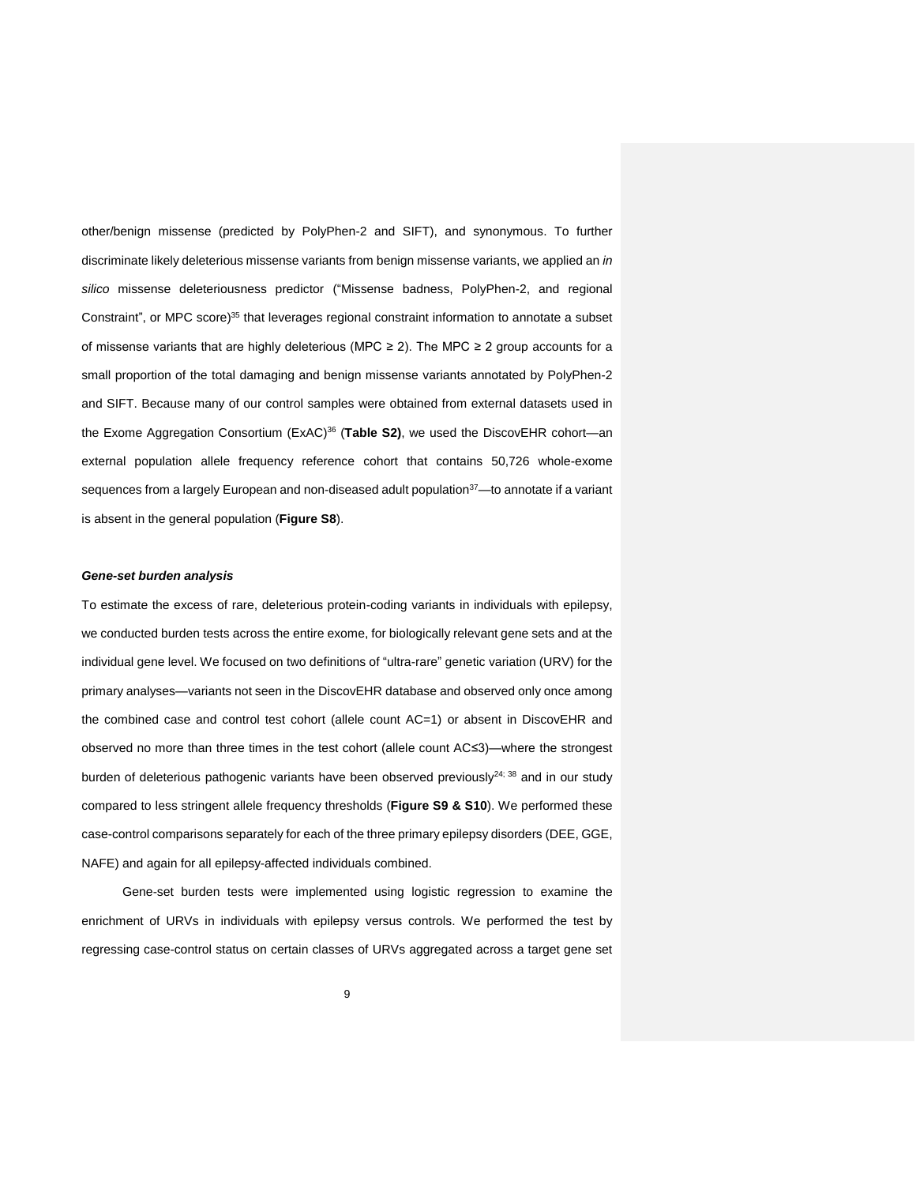other/benign missense (predicted by PolyPhen-2 and SIFT), and synonymous. To further discriminate likely deleterious missense variants from benign missense variants, we applied an *in silico* missense deleteriousness predictor ("Missense badness, PolyPhen-2, and regional Constraint", or MPC score) [35](#page-30-10) that leverages regional constraint information to annotate a subset of missense variants that are highly deleterious (MPC ≥ 2). The MPC ≥ 2 group accounts for a small proportion of the total damaging and benign missense variants annotated by PolyPhen-2 and SIFT. Because many of our control samples were obtained from external datasets used in the Exome Aggregation Consortium (ExAC) [36](#page-30-11) (**Table S2)**, we used the DiscovEHR cohort—an external population allele frequency reference cohort that contains 50,726 whole-exome sequences from a largely European and non-diseased adult population<sup>[37](#page-30-12)</sup>—to annotate if a variant is absent in the general population (**Figure S8**).

## *Gene-set burden analysis*

To estimate the excess of rare, deleterious protein-coding variants in individuals with epilepsy, we conducted burden tests across the entire exome, for biologically relevant gene sets and at the individual gene level. We focused on two definitions of "ultra-rare" genetic variation (URV) for the primary analyses—variants not seen in the DiscovEHR database and observed only once among the combined case and control test cohort (allele count AC=1) or absent in DiscovEHR and observed no more than three times in the test cohort (allele count AC≤3)—where the strongest burden of deleterious pathogenic variants have been observed previously $24$ ;  $38$  and in our study compared to less stringent allele frequency thresholds (**Figure S9 & S10**). We performed these case-control comparisons separately for each of the three primary epilepsy disorders (DEE, GGE, NAFE) and again for all epilepsy-affected individuals combined.

Gene-set burden tests were implemented using logistic regression to examine the enrichment of URVs in individuals with epilepsy versus controls. We performed the test by regressing case-control status on certain classes of URVs aggregated across a target gene set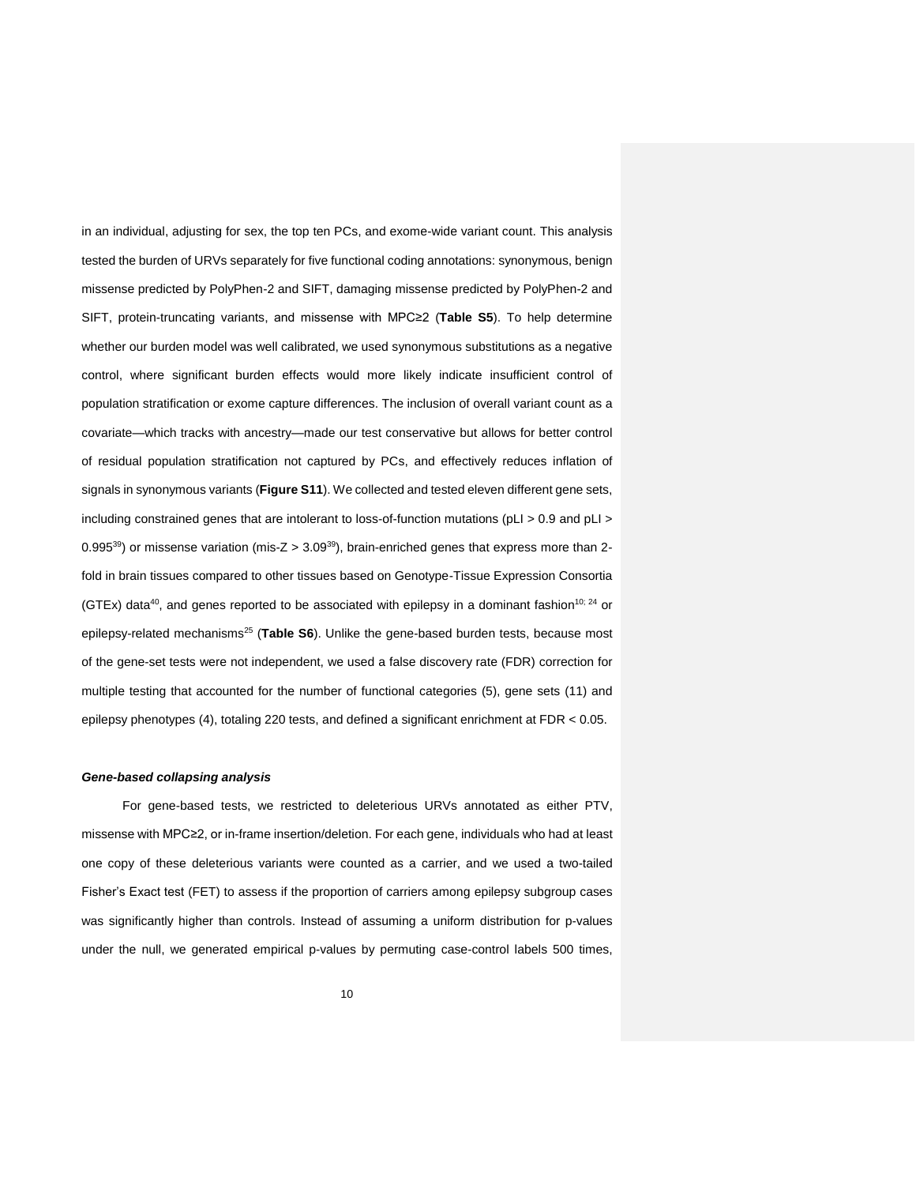in an individual, adjusting for sex, the top ten PCs, and exome-wide variant count. This analysis tested the burden of URVs separately for five functional coding annotations: synonymous, benign missense predicted by PolyPhen-2 and SIFT, damaging missense predicted by PolyPhen-2 and SIFT, protein-truncating variants, and missense with MPC≥2 (**Table S5**). To help determine whether our burden model was well calibrated, we used synonymous substitutions as a negative control, where significant burden effects would more likely indicate insufficient control of population stratification or exome capture differences. The inclusion of overall variant count as a covariate—which tracks with ancestry—made our test conservative but allows for better control of residual population stratification not captured by PCs, and effectively reduces inflation of signals in synonymous variants (**Figure S11**). We collected and tested eleven different gene sets, including constrained genes that are intolerant to loss-of-function mutations (pLI > 0.9 and pLI > 0.995 $^{39}$  $^{39}$  $^{39}$ ) or missense variation (mis-Z > 3.09 $^{39}$ ), brain-enriched genes that express more than 2fold in brain tissues compared to other tissues based on Genotype-Tissue Expression Consortia (GTEx) data<sup>[40](#page-31-2)</sup>, and genes reported to be associated with epilepsy in a dominant fashion<sup>[10;](#page-29-10) [24](#page-30-2)</sup> or epilepsy-related mechanisms<sup>[25](#page-30-3)</sup> (Table S6). Unlike the gene-based burden tests, because most of the gene-set tests were not independent, we used a false discovery rate (FDR) correction for multiple testing that accounted for the number of functional categories (5), gene sets (11) and epilepsy phenotypes (4), totaling 220 tests, and defined a significant enrichment at FDR < 0.05.

#### *Gene-based collapsing analysis*

For gene-based tests, we restricted to deleterious URVs annotated as either PTV, missense with MPC≥2, or in-frame insertion/deletion. For each gene, individuals who had at least one copy of these deleterious variants were counted as a carrier, and we used a two-tailed Fisher's Exact test (FET) to assess if the proportion of carriers among epilepsy subgroup cases was significantly higher than controls. Instead of assuming a uniform distribution for p-values under the null, we generated empirical p-values by permuting case-control labels 500 times,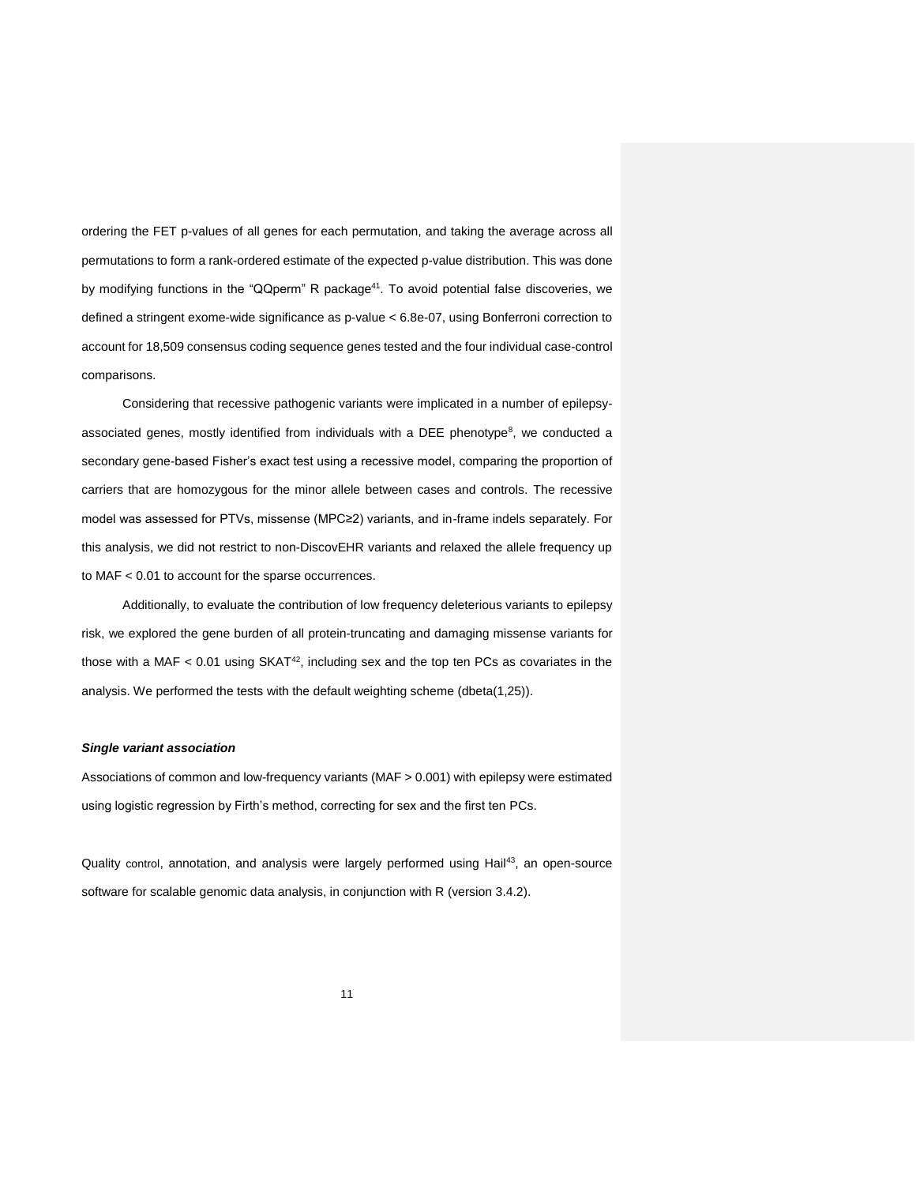ordering the FET p-values of all genes for each permutation, and taking the average across all permutations to form a rank-ordered estimate of the expected p-value distribution. This was done by modifying functions in the "QQperm" R package<sup>[41](#page-31-3)</sup>. To avoid potential false discoveries, we defined a stringent exome-wide significance as p-value < 6.8e-07, using Bonferroni correction to account for 18,509 consensus coding sequence genes tested and the four individual case-control comparisons.

Considering that recessive pathogenic variants were implicated in a number of epilepsy-associated genes[,](#page-29-11) mostly identified from individuals with a DEE phenotype<sup>8</sup>, we conducted a secondary gene-based Fisher's exact test using a recessive model, comparing the proportion of carriers that are homozygous for the minor allele between cases and controls. The recessive model was assessed for PTVs, missense (MPC≥2) variants, and in-frame indels separately. For this analysis, we did not restrict to non-DiscovEHR variants and relaxed the allele frequency up to MAF < 0.01 to account for the sparse occurrences.

Additionally, to evaluate the contribution of low frequency deleterious variants to epilepsy risk, we explored the gene burden of all protein-truncating and damaging missense variants for those with a MAF  $<$  0.01 using SKAT<sup>[42](#page-31-4)</sup>, including sex and the top ten PCs as covariates in the analysis. We performed the tests with the default weighting scheme (dbeta(1,25)).

## *Single variant association*

Associations of common and low-frequency variants (MAF > 0.001) with epilepsy were estimated using logistic regression by Firth's method, correcting for sex and the first ten PCs.

Quality control, annotation, and analysis were largely performed using Hail<sup>[43](#page-31-5)</sup>, an open-source software for scalable genomic data analysis, in conjunction with R (version 3.4.2).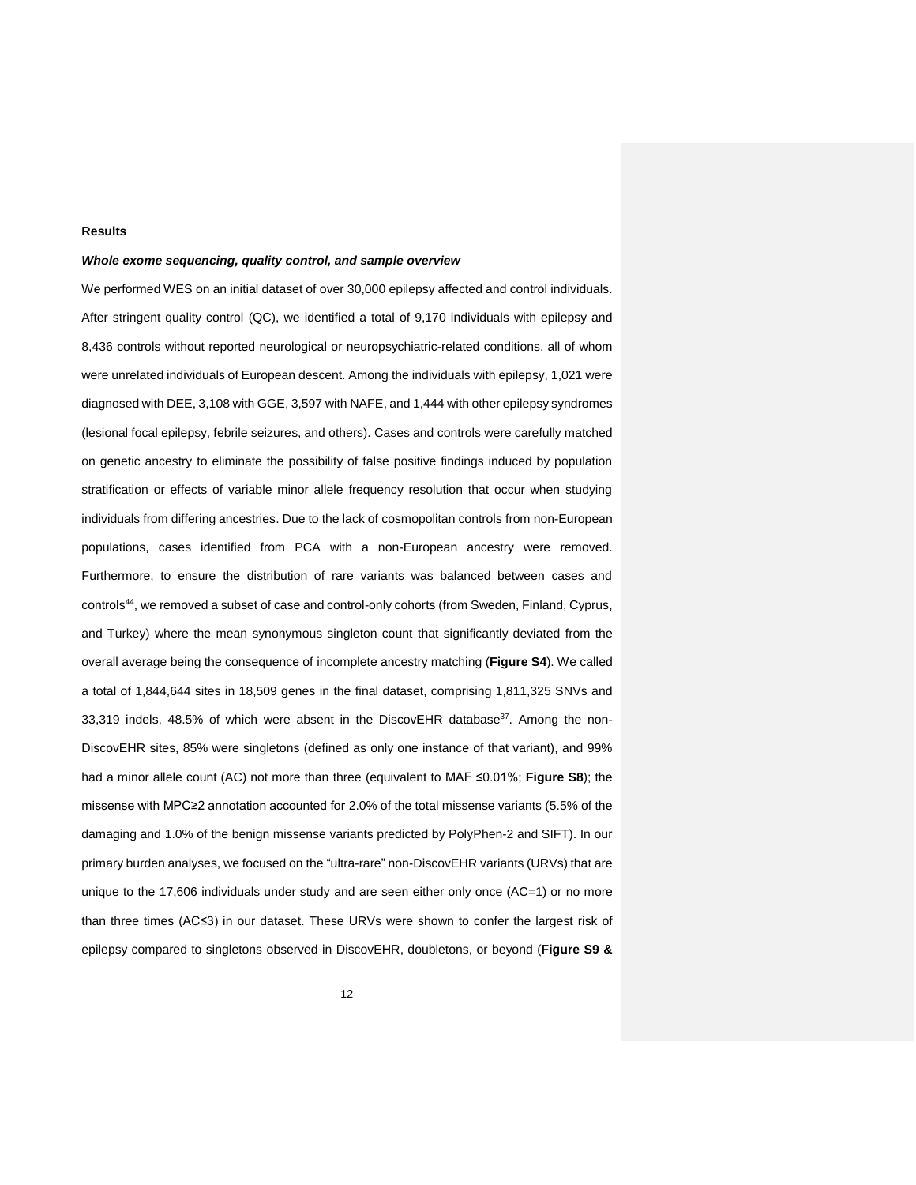## **Results**

## *Whole exome sequencing, quality control, and sample overview*

We performed WES on an initial dataset of over 30,000 epilepsy affected and control individuals. After stringent quality control (QC), we identified a total of 9,170 individuals with epilepsy and 8,436 controls without reported neurological or neuropsychiatric-related conditions, all of whom were unrelated individuals of European descent. Among the individuals with epilepsy, 1,021 were diagnosed with DEE, 3,108 with GGE, 3,597 with NAFE, and 1,444 with other epilepsy syndromes (lesional focal epilepsy, febrile seizures, and others). Cases and controls were carefully matched on genetic ancestry to eliminate the possibility of false positive findings induced by population stratification or effects of variable minor allele frequency resolution that occur when studying individuals from differing ancestries. Due to the lack of cosmopolitan controls from non-European populations, cases identified from PCA with a non-European ancestry were removed. Furthermore, to ensure the distribution of rare variants was balanced between cases and controls<sup>[44](#page-31-6)</sup>, we removed a subset of case and control-only cohorts (from Sweden, Finland, Cyprus, and Turkey) where the mean synonymous singleton count that significantly deviated from the overall average being the consequence of incomplete ancestry matching (**Figure S4**). We called a total of 1,844,644 sites in 18,509 genes in the final dataset, comprising 1,811,325 SNVs and 33,319 indels, 48.5% of which were absent in the DiscovEHR database $37$ . Among the non-DiscovEHR sites, 85% were singletons (defined as only one instance of that variant), and 99% had a minor allele count (AC) not more than three (equivalent to MAF ≤0.01%; **Figure S8**); the missense with MPC≥2 annotation accounted for 2.0% of the total missense variants (5.5% of the damaging and 1.0% of the benign missense variants predicted by PolyPhen-2 and SIFT). In our primary burden analyses, we focused on the "ultra-rare" non-DiscovEHR variants (URVs) that are unique to the 17,606 individuals under study and are seen either only once (AC=1) or no more than three times (AC≤3) in our dataset. These URVs were shown to confer the largest risk of epilepsy compared to singletons observed in DiscovEHR, doubletons, or beyond (**Figure S9 &**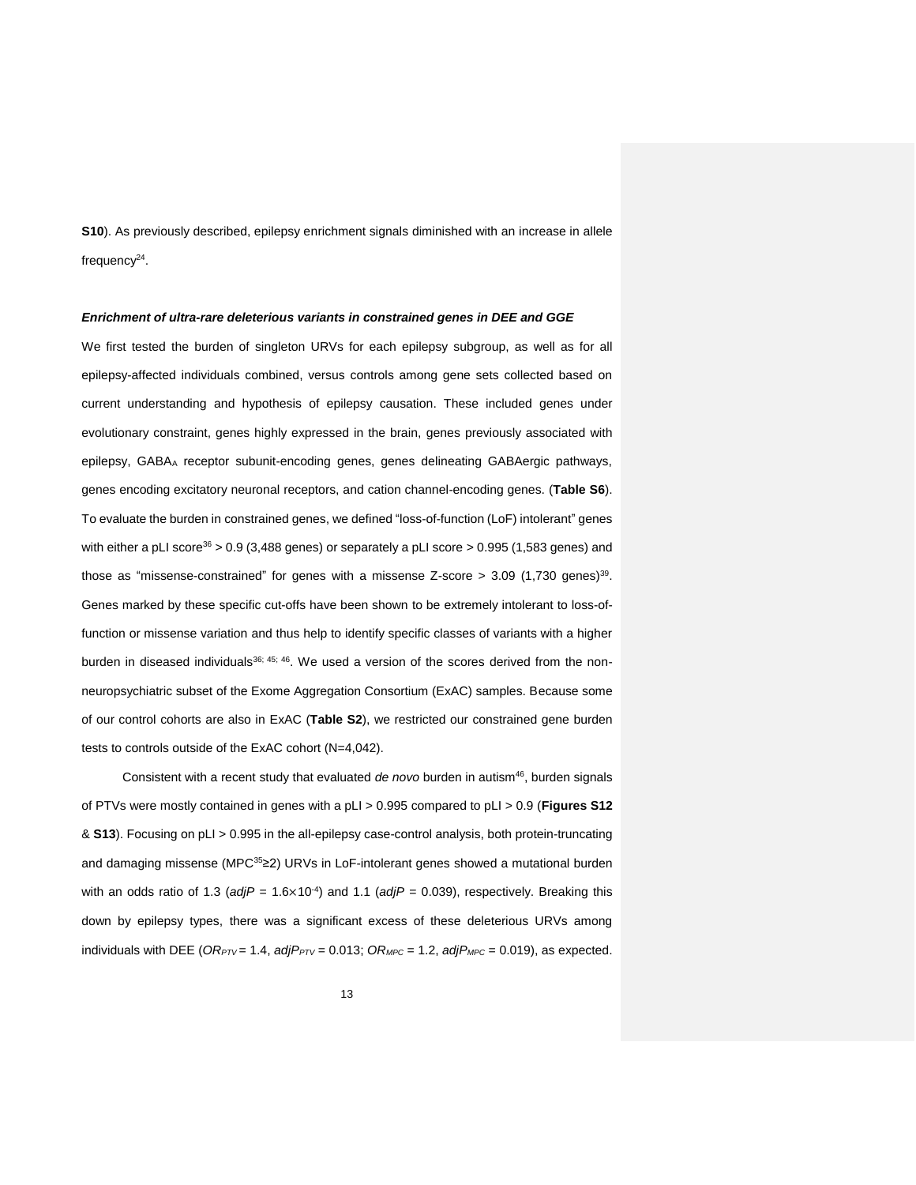**S10**). As previously described, epilepsy enrichment signals diminished with an increase in allele frequency<sup>[24](#page-30-2)</sup>.

#### *Enrichment of ultra-rare deleterious variants in constrained genes in DEE and GGE*

We first tested the burden of singleton URVs for each epilepsy subgroup, as well as for all epilepsy-affected individuals combined, versus controls among gene sets collected based on current understanding and hypothesis of epilepsy causation. These included genes under evolutionary constraint, genes highly expressed in the brain, genes previously associated with epilepsy, GABA<sup>A</sup> receptor subunit-encoding genes, genes delineating GABAergic pathways, genes encoding excitatory neuronal receptors, and cation channel-encoding genes. (**Table S6**). To evaluate the burden in constrained genes, we defined "loss-of-function (LoF) intolerant" genes with either a pLI score<sup>[36](#page-30-11)</sup> > 0.9 (3,488 genes) or separately a pLI score > 0.995 (1,583 genes) and those as "missense-constrained" for genes with a missense Z-score  $> 3.09$  (1,730 genes)<sup>[39](#page-31-1)</sup>. Genes marked by these specific cut-offs have been shown to be extremely intolerant to loss-offunction or missense variation and thus help to identify specific classes of variants with a higher burden in diseased individuals<sup>[36;](#page-30-11) [45;](#page-31-7) [46](#page-31-8)</sup>. We used a version of the scores derived from the nonneuropsychiatric subset of the Exome Aggregation Consortium (ExAC) samples. Because some of our control cohorts are also in ExAC (**Table S2**), we restricted our constrained gene burden tests to controls outside of the ExAC cohort (N=4,042).

Consistent with a recent study that evaluated *de novo* burden in autism[46](#page-31-8), burden signals of PTVs were mostly contained in genes with a pLI > 0.995 compared to pLI > 0.9 (**Figures S12** & **S13**). Focusing on pLI > 0.995 in the all-epilepsy case-control analysis, both protein-truncating and damaging missense (MPC[35](#page-30-10)≥2) URVs in LoF-intolerant genes showed a mutational burden with an odds ratio of 1.3 ( $adjP = 1.6 \times 10^{-4}$ ) and 1.1 ( $adjP = 0.039$ ), respectively. Breaking this down by epilepsy types, there was a significant excess of these deleterious URVs among individuals with DEE ( $OR_{PTV}$  = 1.4,  $adjP_{PTV}$  = 0.013;  $OR_{MPC}$  = 1.2,  $adjP_{MPC}$  = 0.019), as expected.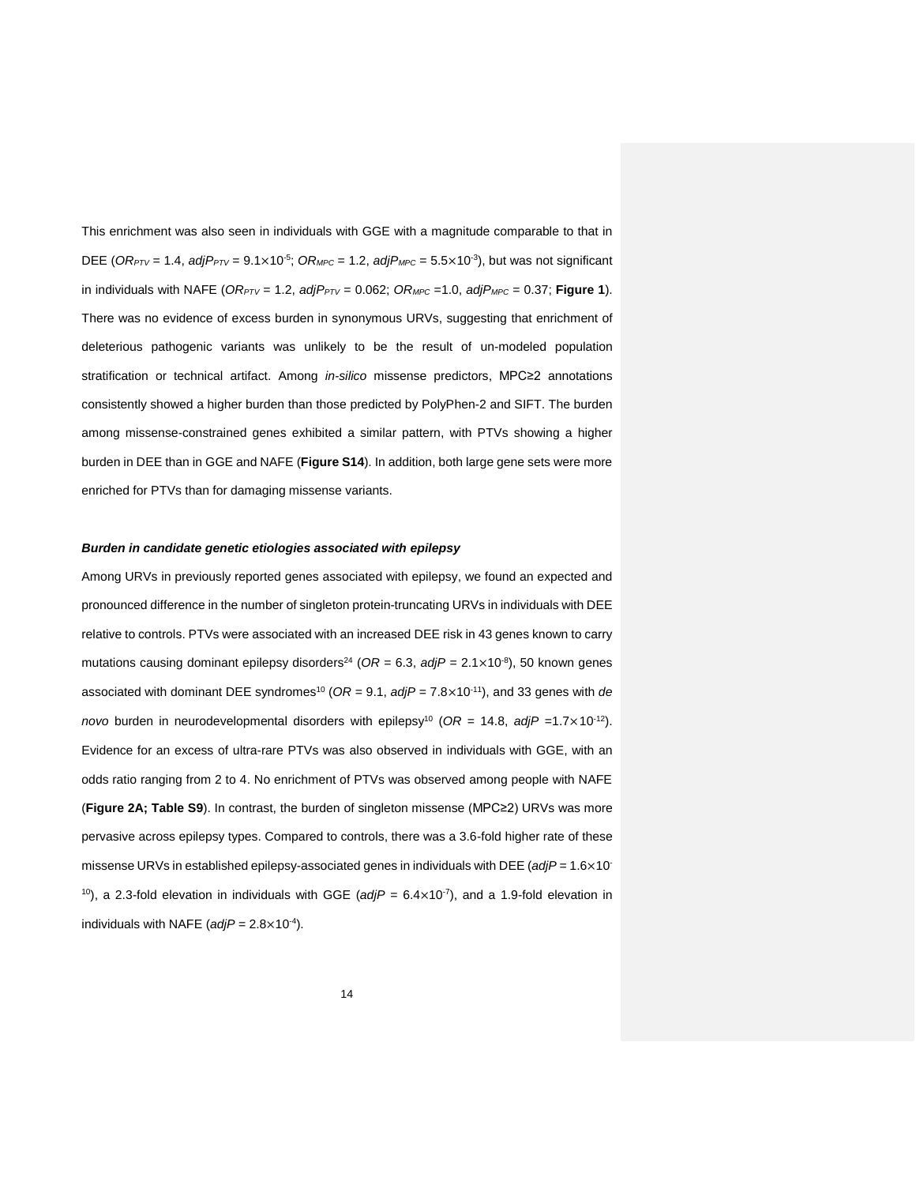This enrichment was also seen in individuals with GGE with a magnitude comparable to that in DEE ( $OR_{PTV}$  = 1.4,  $adjP_{PTV}$  = 9.1×10<sup>-5</sup>;  $OR_{MPC}$  = 1.2,  $adjP_{MPC}$  = 5.5×10<sup>-3</sup>), but was not significant in individuals with NAFE ( $OR_{PTV} = 1.2$ ,  $adjP_{PTV} = 0.062$ ;  $OR_{MPC} = 1.0$ ,  $adjP_{MPC} = 0.37$ ; **Figure 1**). There was no evidence of excess burden in synonymous URVs, suggesting that enrichment of deleterious pathogenic variants was unlikely to be the result of un-modeled population stratification or technical artifact. Among *in-silico* missense predictors, MPC≥2 annotations consistently showed a higher burden than those predicted by PolyPhen-2 and SIFT. The burden among missense-constrained genes exhibited a similar pattern, with PTVs showing a higher burden in DEE than in GGE and NAFE (**Figure S14**). In addition, both large gene sets were more enriched for PTVs than for damaging missense variants.

#### *Burden in candidate genetic etiologies associated with epilepsy*

Among URVs in previously reported genes associated with epilepsy, we found an expected and pronounced difference in the number of singleton protein-truncating URVs in individuals with DEE relative to controls. PTVs were associated with an increased DEE risk in 43 genes known to carry mutations causing dominant epilepsy disorders<sup>[24](#page-30-2)</sup> ( $OR = 6.3$ ,  $adjP = 2.1 \times 10^{-8}$ ), 50 known genes associated with dominant DEE syndromes<sup>[10](#page-29-10)</sup> (OR = 9.1, *adjP* = 7.8×10<sup>-11</sup>), and 33 genes with *de novo* burden in neurodevelopmental disorders with epilepsy<sup>[10](#page-29-10)</sup> (OR = 14.8, *adjP* =1.7×10<sup>-12</sup>). Evidence for an excess of ultra-rare PTVs was also observed in individuals with GGE, with an odds ratio ranging from 2 to 4. No enrichment of PTVs was observed among people with NAFE (**Figure 2A; Table S9**). In contrast, the burden of singleton missense (MPC≥2) URVs was more pervasive across epilepsy types. Compared to controls, there was a 3.6-fold higher rate of these missense URVs in established epilepsy-associated genes in individuals with DEE (*adjP* = 1.6×10- <sup>10</sup>), a 2.3-fold elevation in individuals with GGE ( $adjP = 6.4 \times 10^{-7}$ ), and a 1.9-fold elevation in individuals with NAFE ( $adjP = 2.8 \times 10^{-4}$ ).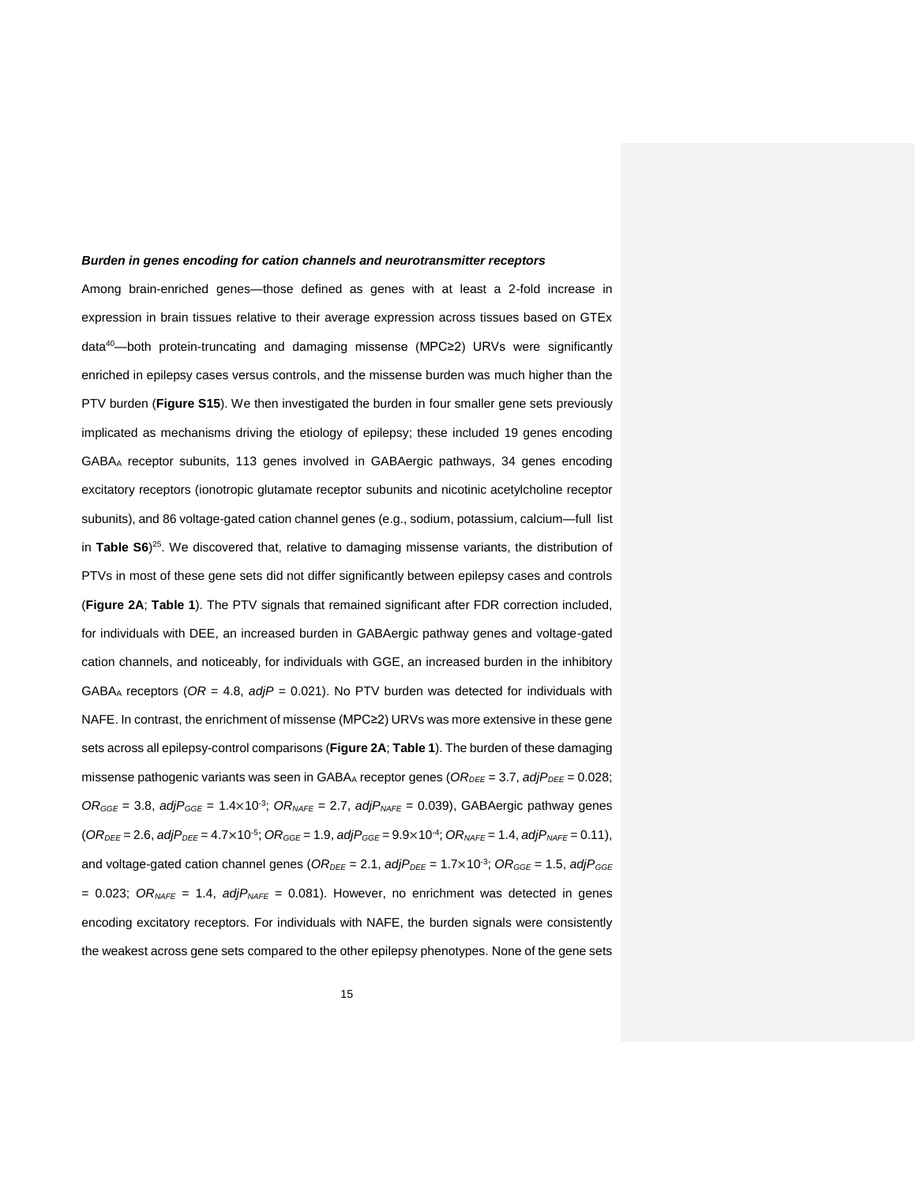#### *Burden in genes encoding for cation channels and neurotransmitter receptors*

Among brain-enriched genes—those defined as genes with at least a 2-fold increase in expression in brain tissues relative to their average expression across tissues based on GTEx data[40](#page-31-2)—both protein-truncating and damaging missense (MPC≥2) URVs were significantly enriched in epilepsy cases versus controls, and the missense burden was much higher than the PTV burden (**Figure S15**). We then investigated the burden in four smaller gene sets previously implicated as mechanisms driving the etiology of epilepsy; these included 19 genes encoding GABA<sup>A</sup> receptor subunits, 113 genes involved in GABAergic pathways, 34 genes encoding excitatory receptors (ionotropic glutamate receptor subunits and nicotinic acetylcholine receptor subunits), and 86 voltage-gated cation channel genes (e.g., sodium, potassium, calcium—full list in **Table S6**) [25](#page-30-3) . We discovered that, relative to damaging missense variants, the distribution of PTVs in most of these gene sets did not differ significantly between epilepsy cases and controls (**Figure 2A**; **Table 1**). The PTV signals that remained significant after FDR correction included, for individuals with DEE, an increased burden in GABAergic pathway genes and voltage-gated cation channels, and noticeably, for individuals with GGE, an increased burden in the inhibitory GABA<sub>A</sub> receptors ( $OR = 4.8$ ,  $adjP = 0.021$ ). No PTV burden was detected for individuals with NAFE. In contrast, the enrichment of missense (MPC≥2) URVs was more extensive in these gene sets across all epilepsy-control comparisons (**Figure 2A**; **Table 1**). The burden of these damaging missense pathogenic variants was seen in GABA<sub>A</sub> receptor genes (OR<sub>DEE</sub> = 3.7, *adjP<sub>DEE</sub>* = 0.028;  $OR_{GGE}$  = 3.8, *adjP<sub>GGE</sub>* = 1.4×10<sup>-3</sup>;  $OR_{NAFE}$  = 2.7, *adjP<sub>NAFE</sub>* = 0.039), GABAergic pathway genes  $(OR_{DEE} = 2.6, \text{adjP}_{DEE} = 4.7 \times 10^{-5}; \text{ OR}_{GGE} = 1.9, \text{adjP}_{GGE} = 9.9 \times 10^{-4}; \text{ OR}_{NAFE} = 1.4, \text{adjP}_{NAFE} = 0.11,$ and voltage-gated cation channel genes (*ORDEE* = 2.1, *adjPDEE* = 1.7×10-3 ; *ORGGE* = 1.5, *adjPGGE*  $= 0.023$ ; *OR<sub>NAFE</sub>* = 1.4, *adjP*<sub>NAFE</sub> = 0.081). However, no enrichment was detected in genes encoding excitatory receptors. For individuals with NAFE, the burden signals were consistently the weakest across gene sets compared to the other epilepsy phenotypes. None of the gene sets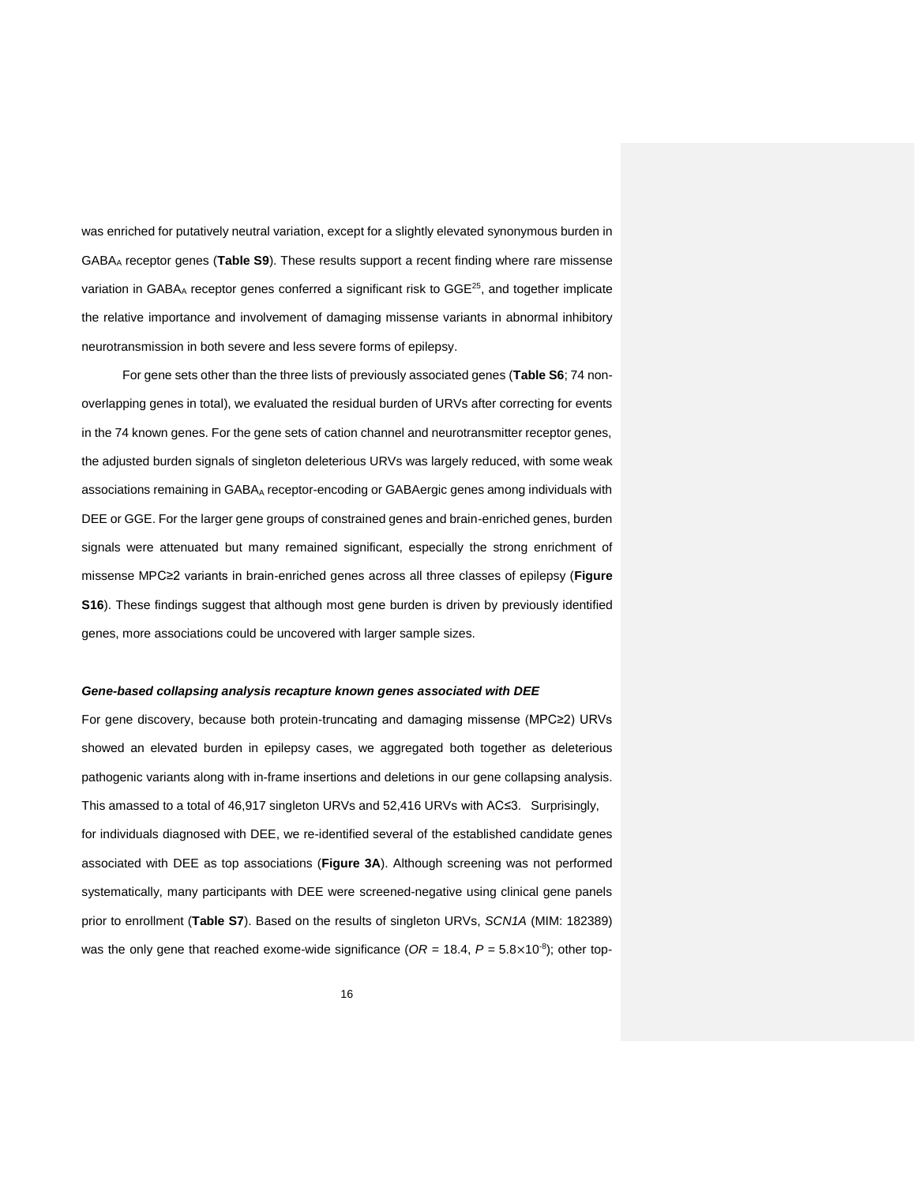was enriched for putatively neutral variation, except for a slightly elevated synonymous burden in GABA<sup>A</sup> receptor genes (**Table S9**). These results support a recent finding where rare missense variation in GABA<sub>A</sub> receptor genes conferred a significant risk to GGE<sup>[25](#page-30-3)</sup>, and together implicate the relative importance and involvement of damaging missense variants in abnormal inhibitory neurotransmission in both severe and less severe forms of epilepsy.

For gene sets other than the three lists of previously associated genes (**Table S6**; 74 nonoverlapping genes in total), we evaluated the residual burden of URVs after correcting for events in the 74 known genes. For the gene sets of cation channel and neurotransmitter receptor genes, the adjusted burden signals of singleton deleterious URVs was largely reduced, with some weak associations remaining in GABA<sub>A</sub> receptor-encoding or GABAergic genes among individuals with DEE or GGE. For the larger gene groups of constrained genes and brain-enriched genes, burden signals were attenuated but many remained significant, especially the strong enrichment of missense MPC≥2 variants in brain-enriched genes across all three classes of epilepsy (**Figure S16**). These findings suggest that although most gene burden is driven by previously identified genes, more associations could be uncovered with larger sample sizes.

## *Gene-based collapsing analysis recapture known genes associated with DEE*

For gene discovery, because both protein-truncating and damaging missense (MPC≥2) URVs showed an elevated burden in epilepsy cases, we aggregated both together as deleterious pathogenic variants along with in-frame insertions and deletions in our gene collapsing analysis. This amassed to a total of 46,917 singleton URVs and 52,416 URVs with AC≤3. Surprisingly, for individuals diagnosed with DEE, we re-identified several of the established candidate genes associated with DEE as top associations (**Figure 3A**). Although screening was not performed systematically, many participants with DEE were screened-negative using clinical gene panels prior to enrollment (**Table S7**). Based on the results of singleton URVs, *SCN1A* (MIM: 182389) was the only gene that reached exome-wide significance  $(OR = 18.4, P = 5.8 \times 10^{-8})$ ; other top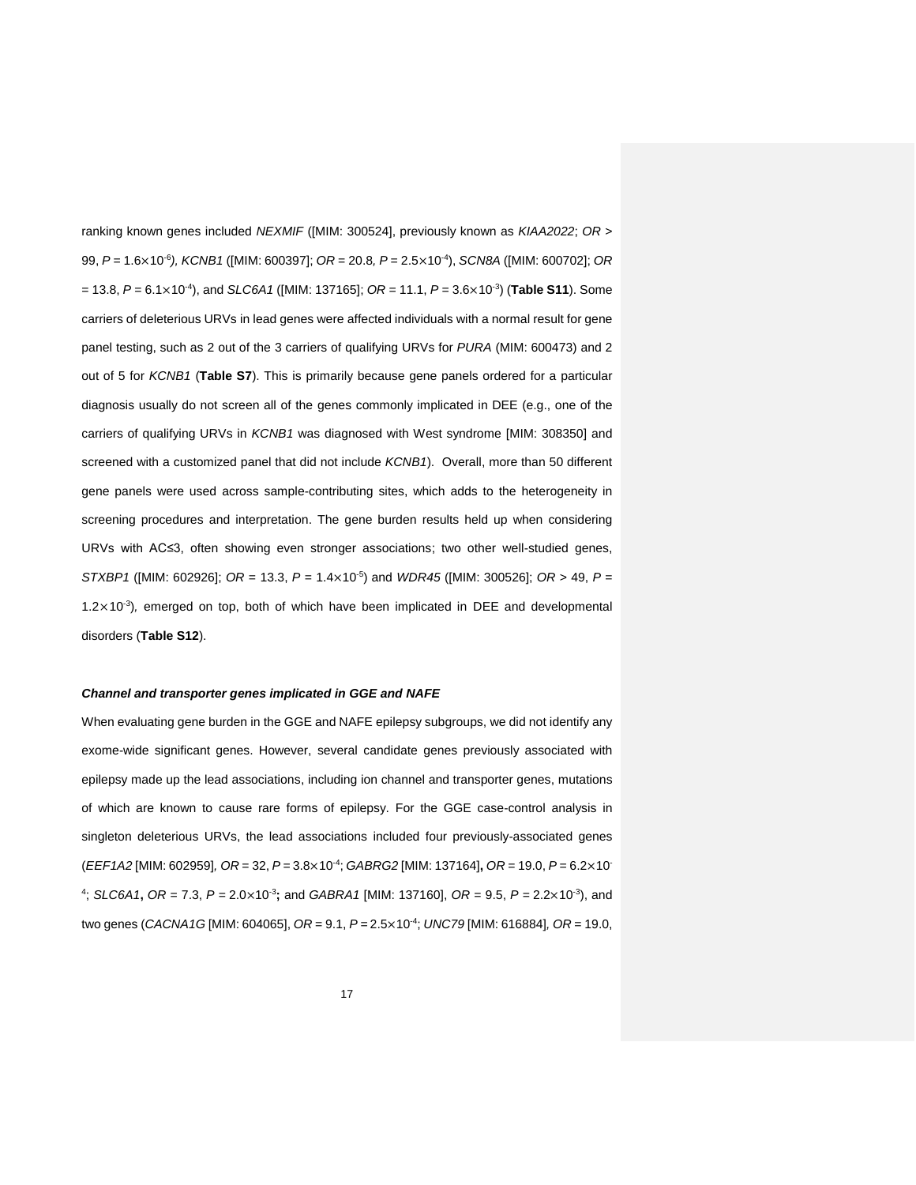ranking known genes included *NEXMIF* ([MIM: 300524], previously known as *KIAA2022*; *OR* > 99, *P* = 1.6×10-6 *), KCNB1* ([MIM: 600397]; *OR* = 20.8*, P* = 2.5×10-4 ), *SCN8A* ([MIM: 600702]; *OR* = 13.8, *P* = 6.1×10-4 ), and *SLC6A1* ([MIM: 137165]; *OR* = 11.1, *P* = 3.6×10-3 ) (**Table S11**). Some carriers of deleterious URVs in lead genes were affected individuals with a normal result for gene panel testing, such as 2 out of the 3 carriers of qualifying URVs for *PURA* (MIM: 600473) and 2 out of 5 for *KCNB1* (**Table S7**). This is primarily because gene panels ordered for a particular diagnosis usually do not screen all of the genes commonly implicated in DEE (e.g., one of the carriers of qualifying URVs in *KCNB1* was diagnosed with West syndrome [MIM: 308350] and screened with a customized panel that did not include *KCNB1*). Overall, more than 50 different gene panels were used across sample-contributing sites, which adds to the heterogeneity in screening procedures and interpretation. The gene burden results held up when considering URVs with AC≤3, often showing even stronger associations; two other well-studied genes, *STXBP1* ([MIM: 602926]; *OR* = 13.3, *P* = 1.4×10-5 ) and *WDR45* ([MIM: 300526]; *OR* > 49, *P* = 1.2×10-3 )*,* emerged on top, both of which have been implicated in DEE and developmental disorders (**Table S12**).

#### *Channel and transporter genes implicated in GGE and NAFE*

When evaluating gene burden in the GGE and NAFE epilepsy subgroups, we did not identify any exome-wide significant genes. However, several candidate genes previously associated with epilepsy made up the lead associations, including ion channel and transporter genes, mutations of which are known to cause rare forms of epilepsy. For the GGE case-control analysis in singleton deleterious URVs, the lead associations included four previously-associated genes (*EEF1A2* [MIM: 602959]*, OR* = 32, *P* = 3.8×10-4 ; *GABRG2* [MIM: 137164]**,** *OR* = 19.0, *P* = 6.2×10- 4 ; *SLC6A1***,** *OR* = 7.3, *P* = 2.0×10-3 **;** and *GABRA1* [MIM: 137160], *OR* = 9.5, *P* = 2.2×10-3 ), and two genes (*CACNA1G* [MIM: 604065], *OR* = 9.1, *P* = 2.5×10-4 ; *UNC79* [MIM: 616884]*, OR* = 19.0,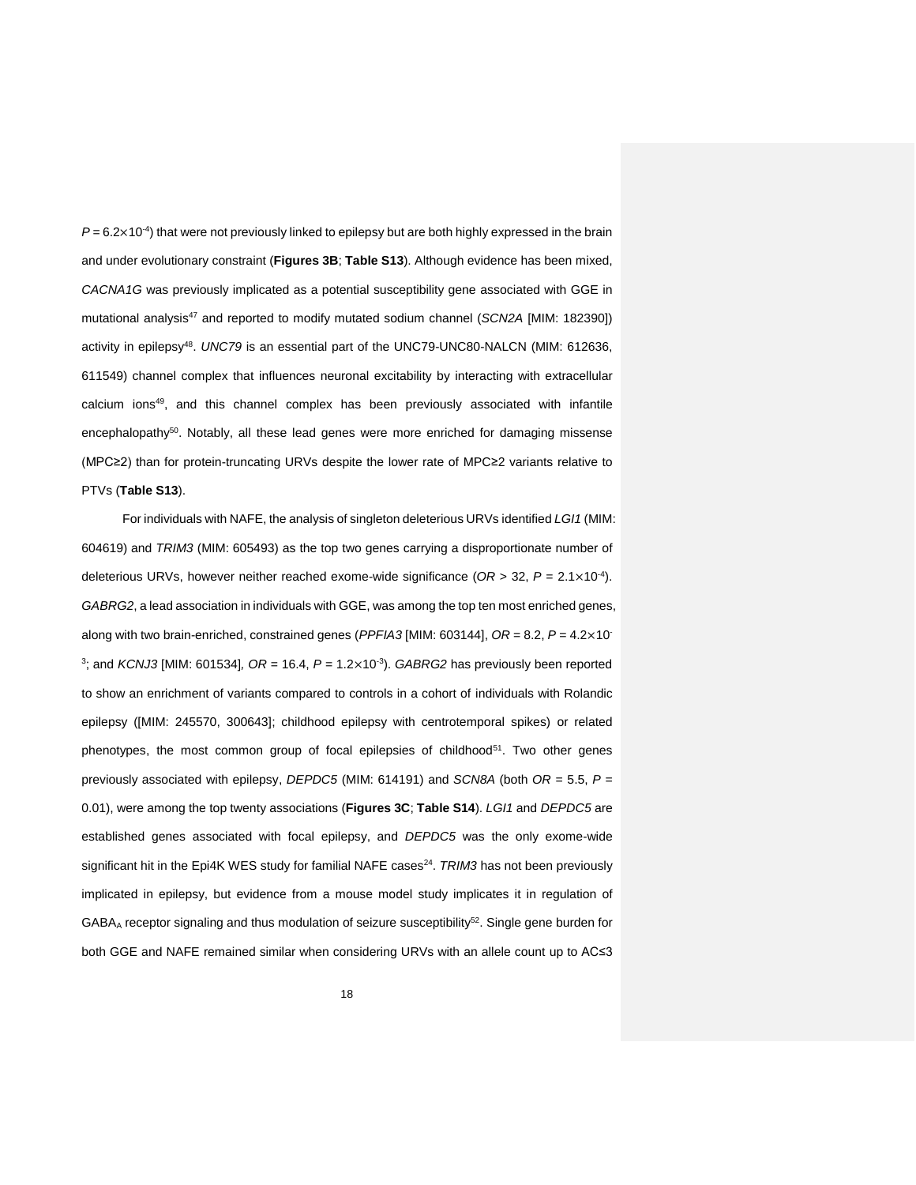$P = 6.2 \times 10^{-4}$ ) that were not previously linked to epilepsy but are both highly expressed in the brain and under evolutionary constraint (**Figures 3B**; **Table S13**). Although evidence has been mixed, *CACNA1G* was previously implicated as a potential susceptibility gene associated with GGE in mutational analysis[47](#page-31-9) and reported to modify mutated sodium channel (*SCN2A* [MIM: 182390]) activity in epilepsy<sup>[48](#page-31-10)</sup>. UNC79 is an essential part of the UNC79-UNC80-NALCN (MIM: 612636, 611549) channel complex that influences neuronal excitability by interacting with extracellular calcium ions [49](#page-31-11) , and this channel complex has been previously associated with infantile encephalopathy<sup>[50](#page-31-12)</sup>. Notably, all these lead genes were more enriched for damaging missense (MPC≥2) than for protein-truncating URVs despite the lower rate of MPC≥2 variants relative to PTVs (**Table S13**).

For individuals with NAFE, the analysis of singleton deleterious URVs identified *LGI1* (MIM: 604619) and *TRIM3* (MIM: 605493) as the top two genes carrying a disproportionate number of deleterious URVs, however neither reached exome-wide significance (*OR* > 32, *P* = 2.1×10-4 ). *GABRG2*, a lead association in individuals with GGE, was among the top ten most enriched genes, along with two brain-enriched, constrained genes (*PPFIA3* [MIM: 603144], *OR* = 8.2, *P* = 4.2×10- 3 ; and *KCNJ3* [MIM: 601534]*, OR* = 16.4, *P* = 1.2×10-3 ). *GABRG2* has previously been reported to show an enrichment of variants compared to controls in a cohort of individuals with Rolandic epilepsy ([MIM: 245570, 300643]; childhood epilepsy with centrotemporal spikes) or related phenotypes, the most common group of focal epilepsies of childhood<sup>[51](#page-31-13)</sup>. Two other genes previously associated with epilepsy, *DEPDC5* (MIM: 614191) and *SCN8A* (both *OR* = 5.5, *P* = 0.01), were among the top twenty associations (**Figures 3C**; **Table S14**). *LGI1* and *DEPDC5* are established genes associated with focal epilepsy, and *DEPDC5* was the only exome-wide significant hit in the Epi4K WES study for familial NAFE cases<sup>[24](#page-30-2)</sup>. TRIM3 has not been previously implicated in epilepsy, but evidence from a mouse model study implicates it in regulation of  $GABA_A$  receptor signaling and thus modulation of seizure susceptibility<sup>[52](#page-31-14)</sup>. Single gene burden for both GGE and NAFE remained similar when considering URVs with an allele count up to AC≤3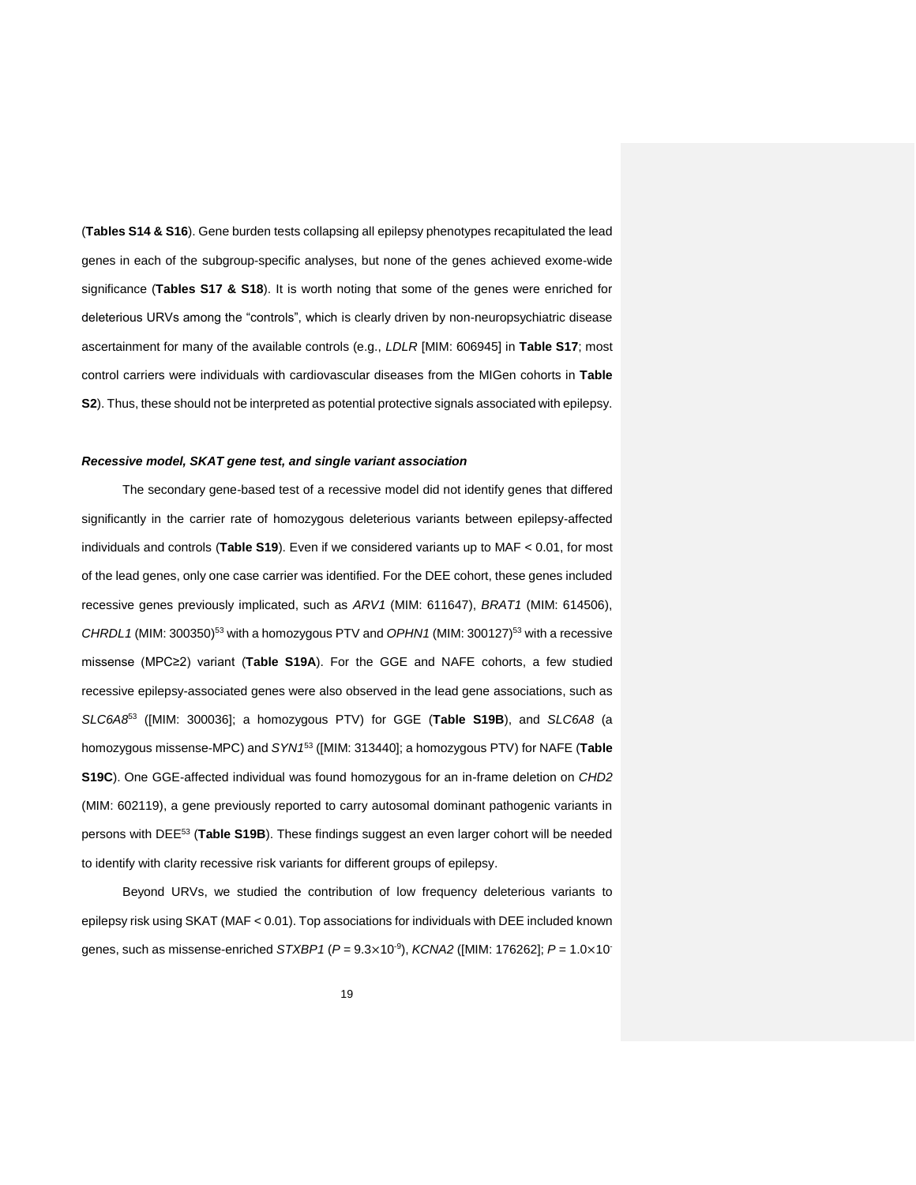(**Tables S14 & S16**). Gene burden tests collapsing all epilepsy phenotypes recapitulated the lead genes in each of the subgroup-specific analyses, but none of the genes achieved exome-wide significance (**Tables S17 & S18**). It is worth noting that some of the genes were enriched for deleterious URVs among the "controls", which is clearly driven by non-neuropsychiatric disease ascertainment for many of the available controls (e.g., *LDLR* [MIM: 606945] in **Table S17**; most control carriers were individuals with cardiovascular diseases from the MIGen cohorts in **Table S2**). Thus, these should not be interpreted as potential protective signals associated with epilepsy.

## *Recessive model, SKAT gene test, and single variant association*

The secondary gene-based test of a recessive model did not identify genes that differed significantly in the carrier rate of homozygous deleterious variants between epilepsy-affected individuals and controls (**Table S19**). Even if we considered variants up to MAF < 0.01, for most of the lead genes, only one case carrier was identified. For the DEE cohort, these genes included recessive genes previously implicated, such as *ARV1* (MIM: 611647), *BRAT1* (MIM: 614506), *CHRDL1* (MIM: 300350)[53](#page-31-15) with a homozygous PTV and *OPHN1* (MIM: 300127)[53](#page-31-15) with a recessive missense (MPC≥2) variant (**Table S19A**). For the GGE and NAFE cohorts, a few studied recessive epilepsy-associated genes were also observed in the lead gene associations, such as *SLC6A8*[53](#page-31-15) ([MIM: 300036]; a homozygous PTV) for GGE (**Table S19B**), and *SLC6A8* (a homozygous missense-MPC) and *SYN1*[53](#page-31-15) ([MIM: 313440]; a homozygous PTV) for NAFE (**Table S19C**). One GGE-affected individual was found homozygous for an in-frame deletion on *CHD2* (MIM: 602119), a gene previously reported to carry autosomal dominant pathogenic variants in persons with DEE[53](#page-31-15) (**Table S19B**). These findings suggest an even larger cohort will be needed to identify with clarity recessive risk variants for different groups of epilepsy.

Beyond URVs, we studied the contribution of low frequency deleterious variants to epilepsy risk using SKAT (MAF < 0.01). Top associations for individuals with DEE included known genes, such as missense-enriched *STXBP1* (*P* = 9.3×10-9 ), *KCNA2* ([MIM: 176262]; *P* = 1.0×10-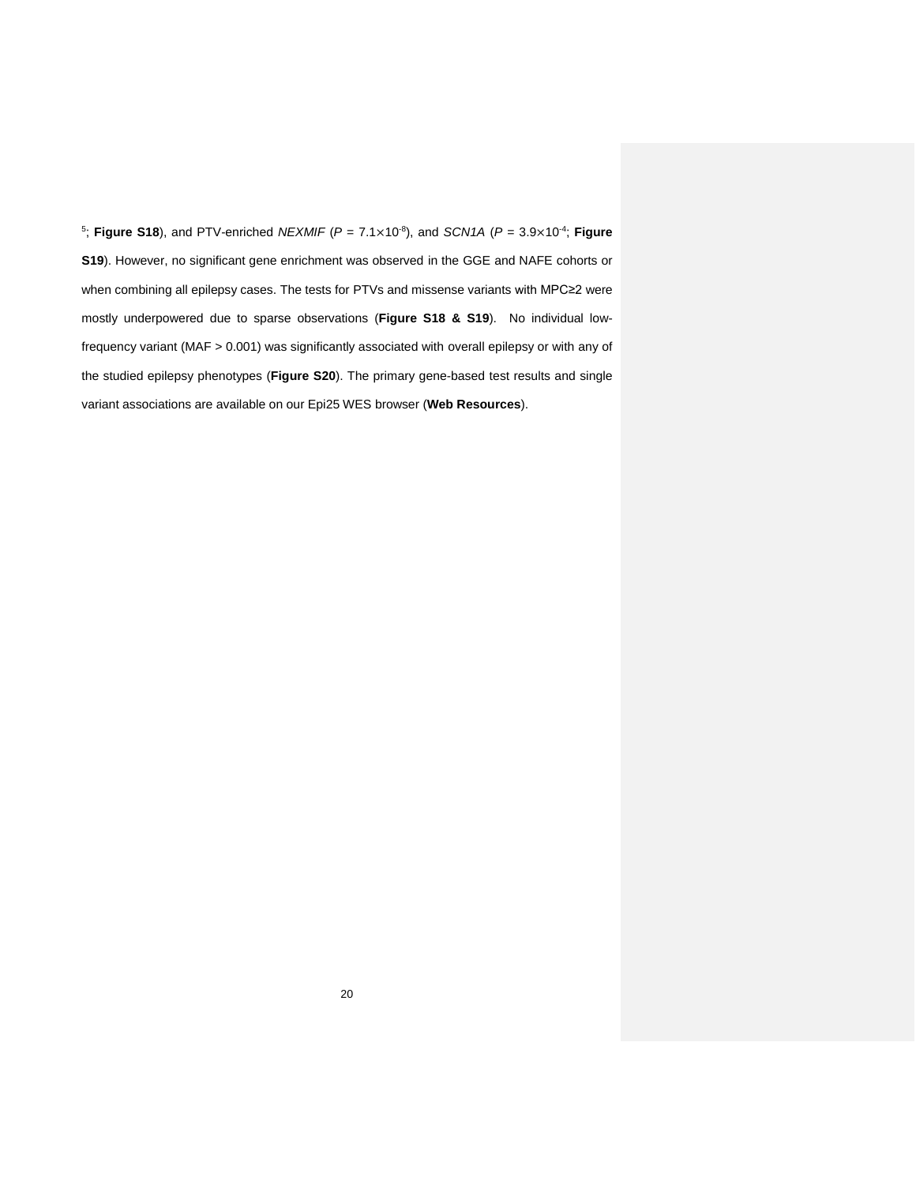5 ; **Figure S18**), and PTV-enriched *NEXMIF* (*P* = 7.1×10-8 ), and *SCN1A* (*P* = 3.9×10-4 ; **Figure S19**). However, no significant gene enrichment was observed in the GGE and NAFE cohorts or when combining all epilepsy cases. The tests for PTVs and missense variants with MPC≥2 were mostly underpowered due to sparse observations (**Figure S18 & S19**). No individual lowfrequency variant (MAF > 0.001) was significantly associated with overall epilepsy or with any of the studied epilepsy phenotypes (**Figure S20**). The primary gene-based test results and single variant associations are available on our Epi25 WES browser (**Web Resources**).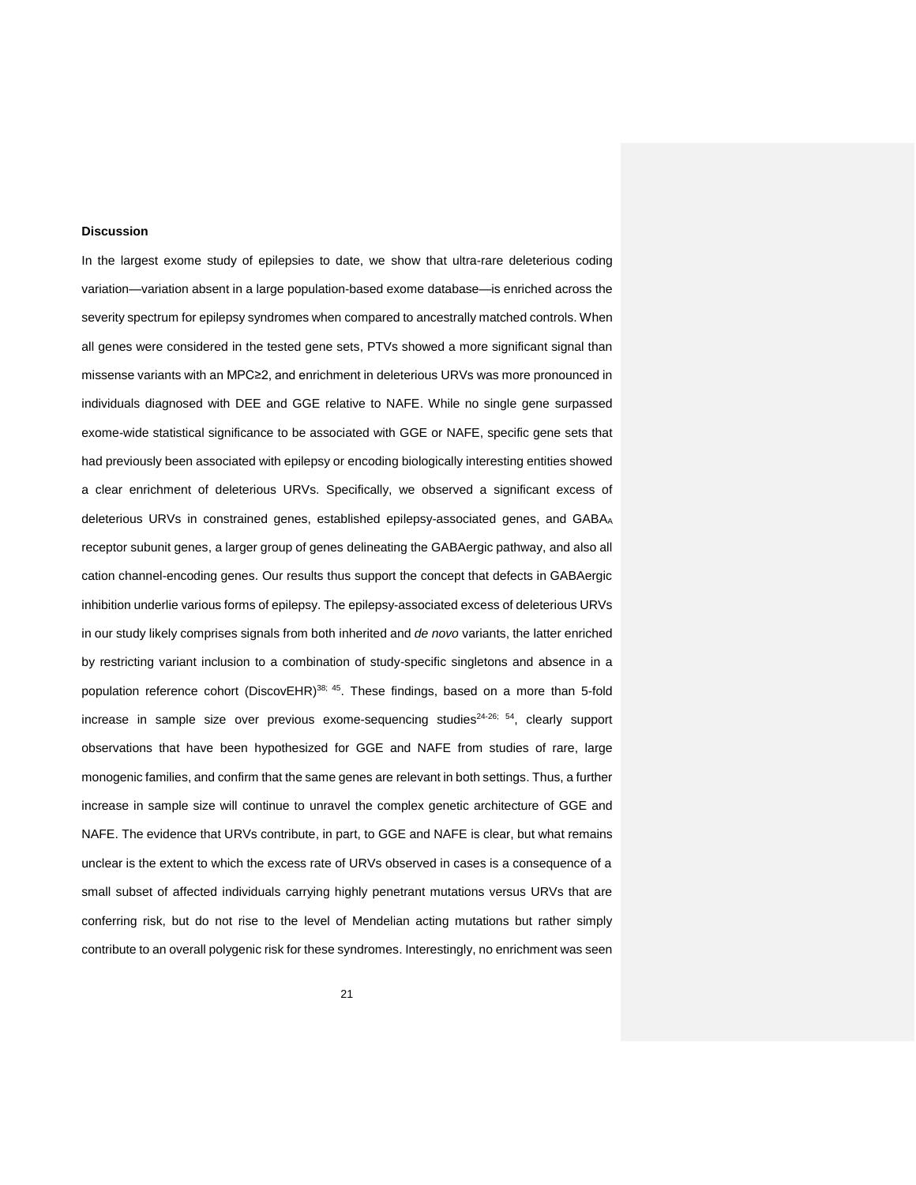#### **Discussion**

In the largest exome study of epilepsies to date, we show that ultra-rare deleterious coding variation—variation absent in a large population-based exome database—is enriched across the severity spectrum for epilepsy syndromes when compared to ancestrally matched controls. When all genes were considered in the tested gene sets, PTVs showed a more significant signal than missense variants with an MPC≥2, and enrichment in deleterious URVs was more pronounced in individuals diagnosed with DEE and GGE relative to NAFE. While no single gene surpassed exome-wide statistical significance to be associated with GGE or NAFE, specific gene sets that had previously been associated with epilepsy or encoding biologically interesting entities showed a clear enrichment of deleterious URVs. Specifically, we observed a significant excess of deleterious URVs in constrained genes, established epilepsy-associated genes, and GABAA receptor subunit genes, a larger group of genes delineating the GABAergic pathway, and also all cation channel-encoding genes. Our results thus support the concept that defects in GABAergic inhibition underlie various forms of epilepsy. The epilepsy-associated excess of deleterious URVs in our study likely comprises signals from both inherited and *de novo* variants, the latter enriched by restricting variant inclusion to a combination of study-specific singletons and absence in a population reference cohort (DiscovEHR)<sup>[38;](#page-31-0) [45](#page-31-7)</sup>. These findings, based on a more than 5-fold increase in sample size over previous exome-sequencing studies<sup>[24-26;](#page-30-2) [54](#page-31-16)</sup>, clearly support observations that have been hypothesized for GGE and NAFE from studies of rare, large monogenic families, and confirm that the same genes are relevant in both settings. Thus, a further increase in sample size will continue to unravel the complex genetic architecture of GGE and NAFE. The evidence that URVs contribute, in part, to GGE and NAFE is clear, but what remains unclear is the extent to which the excess rate of URVs observed in cases is a consequence of a small subset of affected individuals carrying highly penetrant mutations versus URVs that are conferring risk, but do not rise to the level of Mendelian acting mutations but rather simply contribute to an overall polygenic risk for these syndromes. Interestingly, no enrichment was seen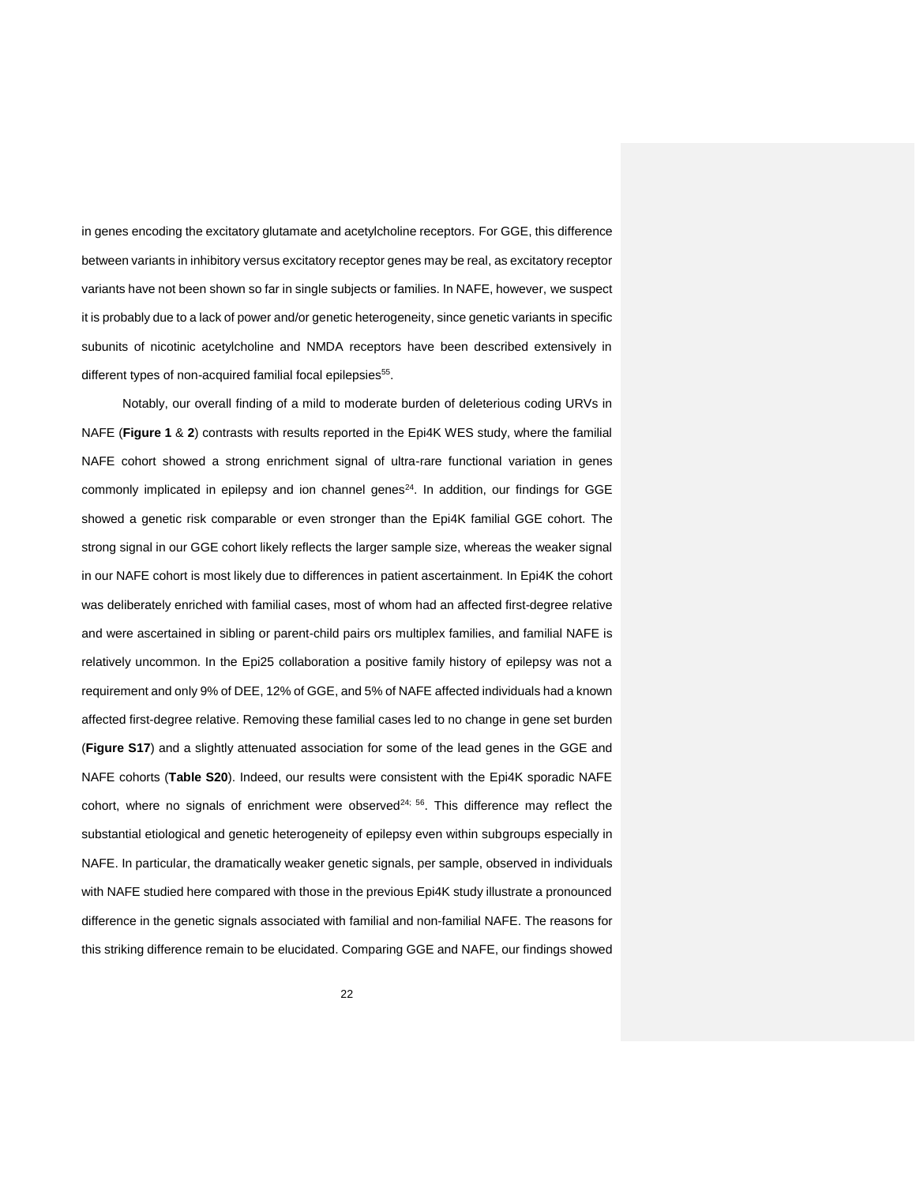in genes encoding the excitatory glutamate and acetylcholine receptors. For GGE, this difference between variants in inhibitory versus excitatory receptor genes may be real, as excitatory receptor variants have not been shown so far in single subjects or families. In NAFE, however, we suspect it is probably due to a lack of power and/or genetic heterogeneity, since genetic variants in specific subunits of nicotinic acetylcholine and NMDA receptors have been described extensively in different types of non-acquired familial focal epilepsies<sup>[55](#page-32-0)</sup>.

Notably, our overall finding of a mild to moderate burden of deleterious coding URVs in NAFE (**Figure 1** & **2**) contrasts with results reported in the Epi4K WES study, where the familial NAFE cohort showed a strong enrichment signal of ultra-rare functional variation in genes commonly implicated in epilepsy and ion channel genes $24$ . In addition, our findings for GGE showed a genetic risk comparable or even stronger than the Epi4K familial GGE cohort. The strong signal in our GGE cohort likely reflects the larger sample size, whereas the weaker signal in our NAFE cohort is most likely due to differences in patient ascertainment. In Epi4K the cohort was deliberately enriched with familial cases, most of whom had an affected first-degree relative and were ascertained in sibling or parent-child pairs ors multiplex families, and familial NAFE is relatively uncommon. In the Epi25 collaboration a positive family history of epilepsy was not a requirement and only 9% of DEE, 12% of GGE, and 5% of NAFE affected individuals had a known affected first-degree relative. Removing these familial cases led to no change in gene set burden (**Figure S17**) and a slightly attenuated association for some of the lead genes in the GGE and NAFE cohorts (**Table S20**). Indeed, our results were consistent with the Epi4K sporadic NAFE cohort, where no signals of enrichment were observed $^{24; 56}$  $^{24; 56}$  $^{24; 56}$  $^{24; 56}$ . This difference may reflect the substantial etiological and genetic heterogeneity of epilepsy even within subgroups especially in NAFE. In particular, the dramatically weaker genetic signals, per sample, observed in individuals with NAFE studied here compared with those in the previous Epi4K study illustrate a pronounced difference in the genetic signals associated with familial and non-familial NAFE. The reasons for this striking difference remain to be elucidated. Comparing GGE and NAFE, our findings showed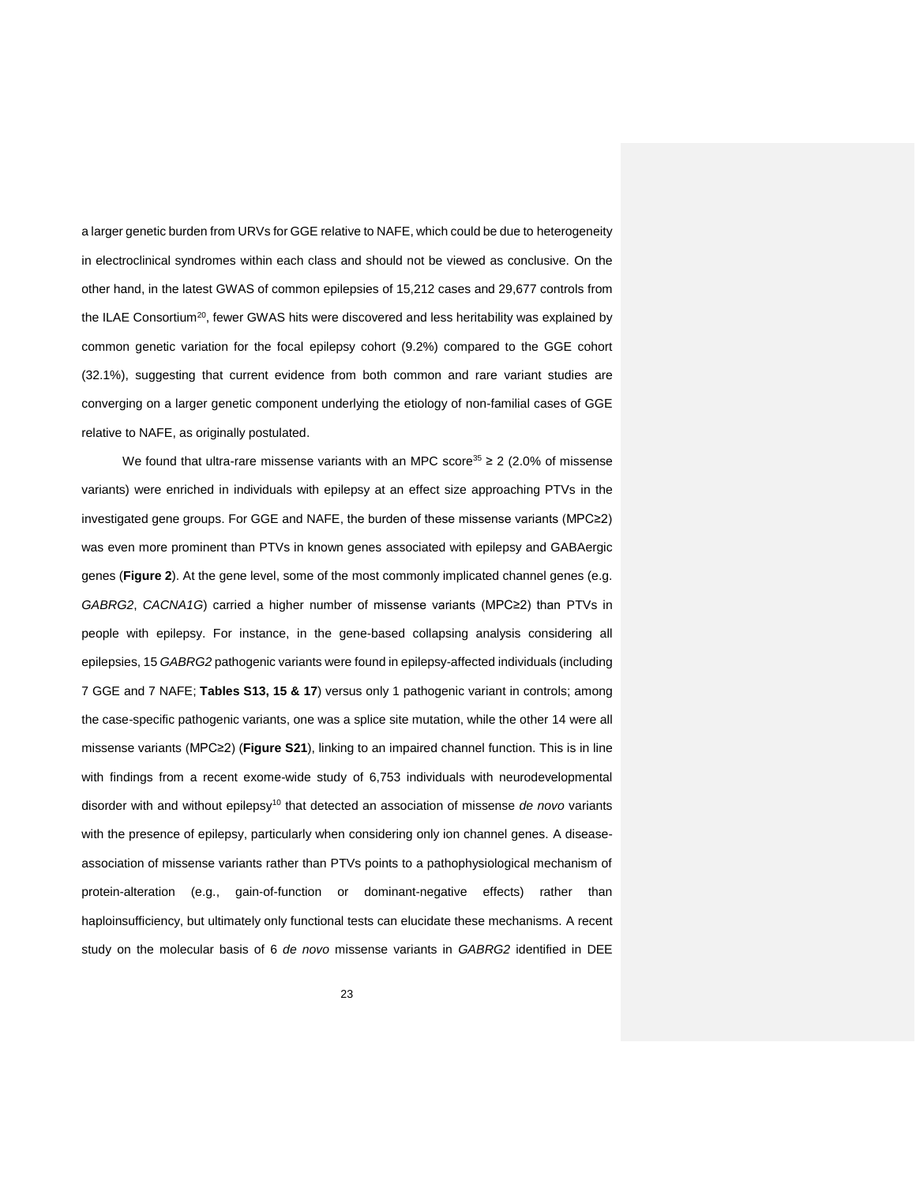a larger genetic burden from URVs for GGE relative to NAFE, which could be due to heterogeneity in electroclinical syndromes within each class and should not be viewed as conclusive. On the other hand, in the latest GWAS of common epilepsies of 15,212 cases and 29,677 controls from the ILAE Consortium<sup>[20](#page-30-13)</sup>, fewer GWAS hits were discovered and less heritability was explained by common genetic variation for the focal epilepsy cohort (9.2%) compared to the GGE cohort (32.1%), suggesting that current evidence from both common and rare variant studies are converging on a larger genetic component underlying the etiology of non-familial cases of GGE relative to NAFE, as originally postulated.

We found that ultra-rare missense variants with an MPC score<sup>[35](#page-30-10)</sup>  $\geq$  2 (2.0% of missense variants) were enriched in individuals with epilepsy at an effect size approaching PTVs in the investigated gene groups. For GGE and NAFE, the burden of these missense variants (MPC≥2) was even more prominent than PTVs in known genes associated with epilepsy and GABAergic genes (**Figure 2**). At the gene level, some of the most commonly implicated channel genes (e.g. *GABRG2*, *CACNA1G*) carried a higher number of missense variants (MPC≥2) than PTVs in people with epilepsy. For instance, in the gene-based collapsing analysis considering all epilepsies, 15 *GABRG2* pathogenic variants were found in epilepsy-affected individuals (including 7 GGE and 7 NAFE; **Tables S13, 15 & 17**) versus only 1 pathogenic variant in controls; among the case-specific pathogenic variants, one was a splice site mutation, while the other 14 were all missense variants (MPC≥2) (**Figure S21**), linking to an impaired channel function. This is in line with findings from a recent exome-wide study of 6,753 individuals with neurodevelopmental disorder with and without epilepsy<sup>[10](#page-29-10)</sup> that detected an association of missense *de novo* variants with the presence of epilepsy, particularly when considering only ion channel genes. A diseaseassociation of missense variants rather than PTVs points to a pathophysiological mechanism of protein-alteration (e.g., gain-of-function or dominant-negative effects) rather than haploinsufficiency, but ultimately only functional tests can elucidate these mechanisms. A recent study on the molecular basis of 6 *de novo* missense variants in *GABRG2* identified in DEE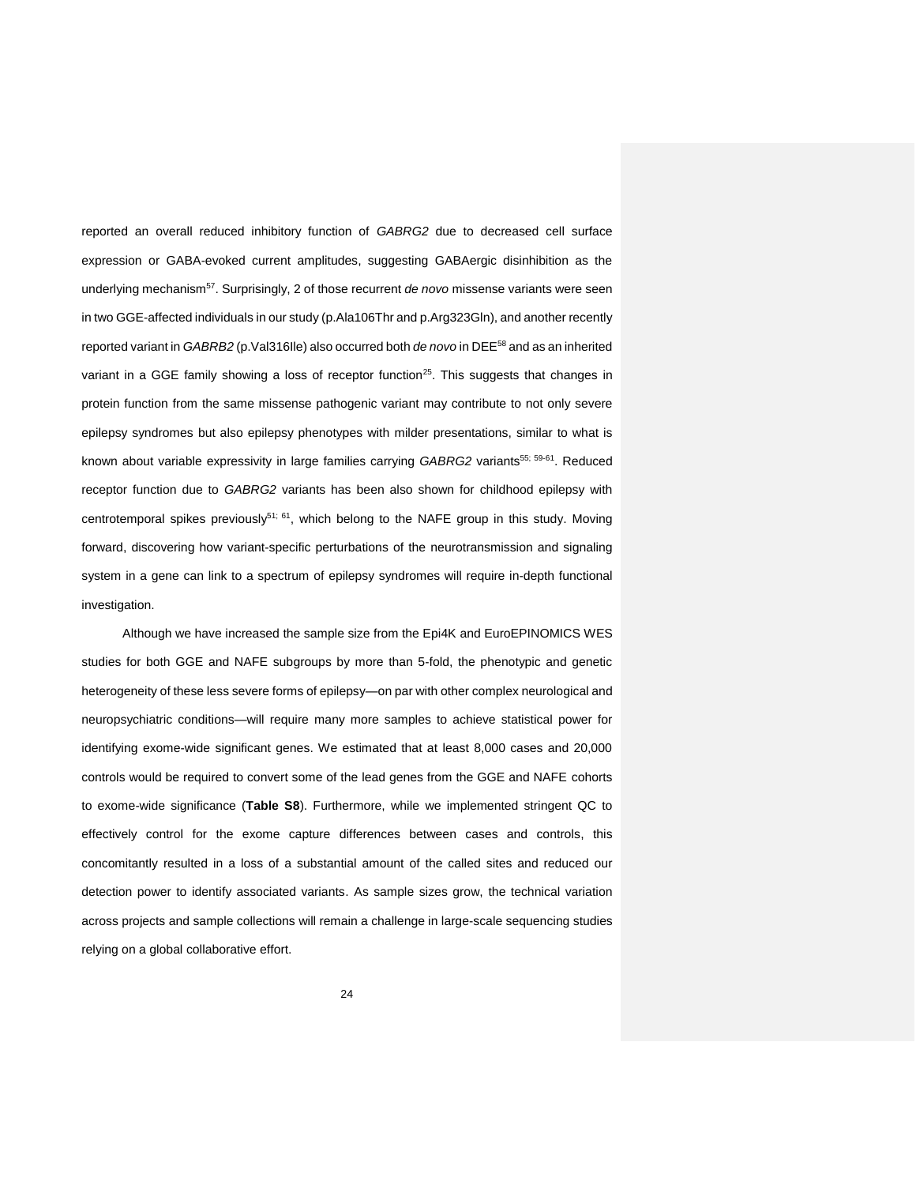reported an overall reduced inhibitory function of *GABRG2* due to decreased cell surface expression or GABA-evoked current amplitudes, suggesting GABAergic disinhibition as the underlying mechanism<sup>[57](#page-32-2)</sup>. Surprisingly, 2 of those recurrent *de novo* missense variants were seen in two GGE-affected individuals in our study (p.Ala106Thr and p.Arg323Gln), and another recently reported variant in *GABRB2* (p.Val316Ile) also occurred both *de novo* in DEE[58](#page-32-3) and as an inherited variant in a GGE family showing a loss of receptor function<sup>[25](#page-30-3)</sup>. This suggests that changes in protein function from the same missense pathogenic variant may contribute to not only severe epilepsy syndromes but also epilepsy phenotypes with milder presentations, similar to what is known about variable expressivity in large families carrying *GABRG2* variants[55;](#page-32-0) [59-61](#page-32-4) . Reduced receptor function due to *GABRG2* variants has been also shown for childhood epilepsy with centrotemporal spikes previously<sup>[51;](#page-31-13) [61](#page-32-5)</sup>, which belong to the NAFE group in this study. Moving forward, discovering how variant-specific perturbations of the neurotransmission and signaling system in a gene can link to a spectrum of epilepsy syndromes will require in-depth functional investigation.

Although we have increased the sample size from the Epi4K and EuroEPINOMICS WES studies for both GGE and NAFE subgroups by more than 5-fold, the phenotypic and genetic heterogeneity of these less severe forms of epilepsy—on par with other complex neurological and neuropsychiatric conditions—will require many more samples to achieve statistical power for identifying exome-wide significant genes. We estimated that at least 8,000 cases and 20,000 controls would be required to convert some of the lead genes from the GGE and NAFE cohorts to exome-wide significance (**Table S8**). Furthermore, while we implemented stringent QC to effectively control for the exome capture differences between cases and controls, this concomitantly resulted in a loss of a substantial amount of the called sites and reduced our detection power to identify associated variants. As sample sizes grow, the technical variation across projects and sample collections will remain a challenge in large-scale sequencing studies relying on a global collaborative effort.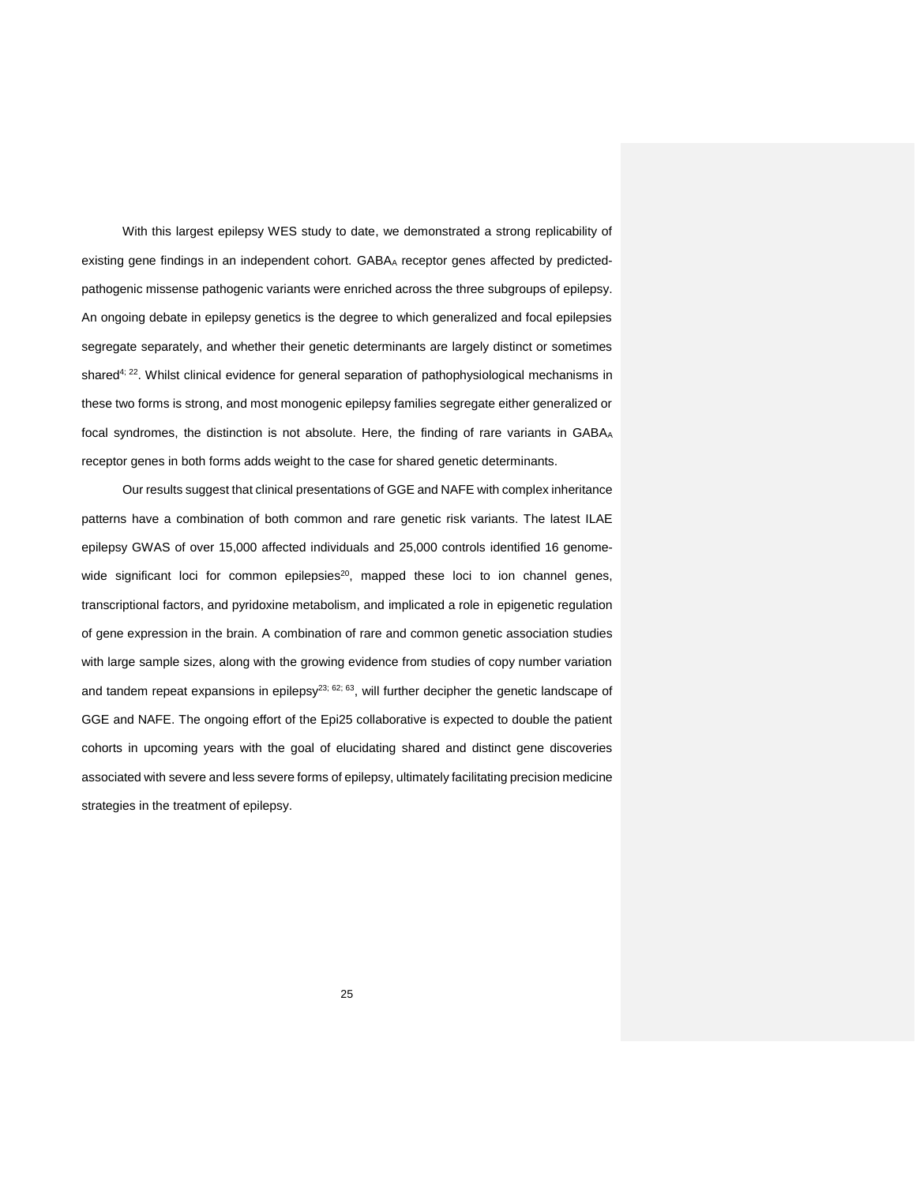With this largest epilepsy WES study to date, we demonstrated a strong replicability of existing gene findings in an independent cohort. GABA<sub>A</sub> receptor genes affected by predictedpathogenic missense pathogenic variants were enriched across the three subgroups of epilepsy. An ongoing debate in epilepsy genetics is the degree to which generalized and focal epilepsies segregate separately, and whether their genetic determinants are largely distinct or sometimes shared<sup>[4;](#page-29-8) [22](#page-30-14)</sup>. Whilst clinical evidence for general separation of pathophysiological mechanisms in these two forms is strong, and most monogenic epilepsy families segregate either generalized or focal syndromes, the distinction is not absolute. Here, the finding of rare variants in GABAA receptor genes in both forms adds weight to the case for shared genetic determinants.

Our results suggest that clinical presentations of GGE and NAFE with complex inheritance patterns have a combination of both common and rare genetic risk variants. The latest ILAE epilepsy GWAS of over 15,000 affected individuals and 25,000 controls identified 16 genome-wide significant loci for common epilepsies<sup>[20](#page-30-13)</sup>, mapped these loci to ion channel genes, transcriptional factors, and pyridoxine metabolism, and implicated a role in epigenetic regulation of gene expression in the brain. A combination of rare and common genetic association studies with large sample sizes, along with the growing evidence from studies of copy number variation and tandem repeat expansions in epilepsy<sup>[23;](#page-30-0) [62;](#page-32-6) [63](#page-32-7)</sup>, will further decipher the genetic landscape of GGE and NAFE. The ongoing effort of the Epi25 collaborative is expected to double the patient cohorts in upcoming years with the goal of elucidating shared and distinct gene discoveries associated with severe and less severe forms of epilepsy, ultimately facilitating precision medicine strategies in the treatment of epilepsy.

25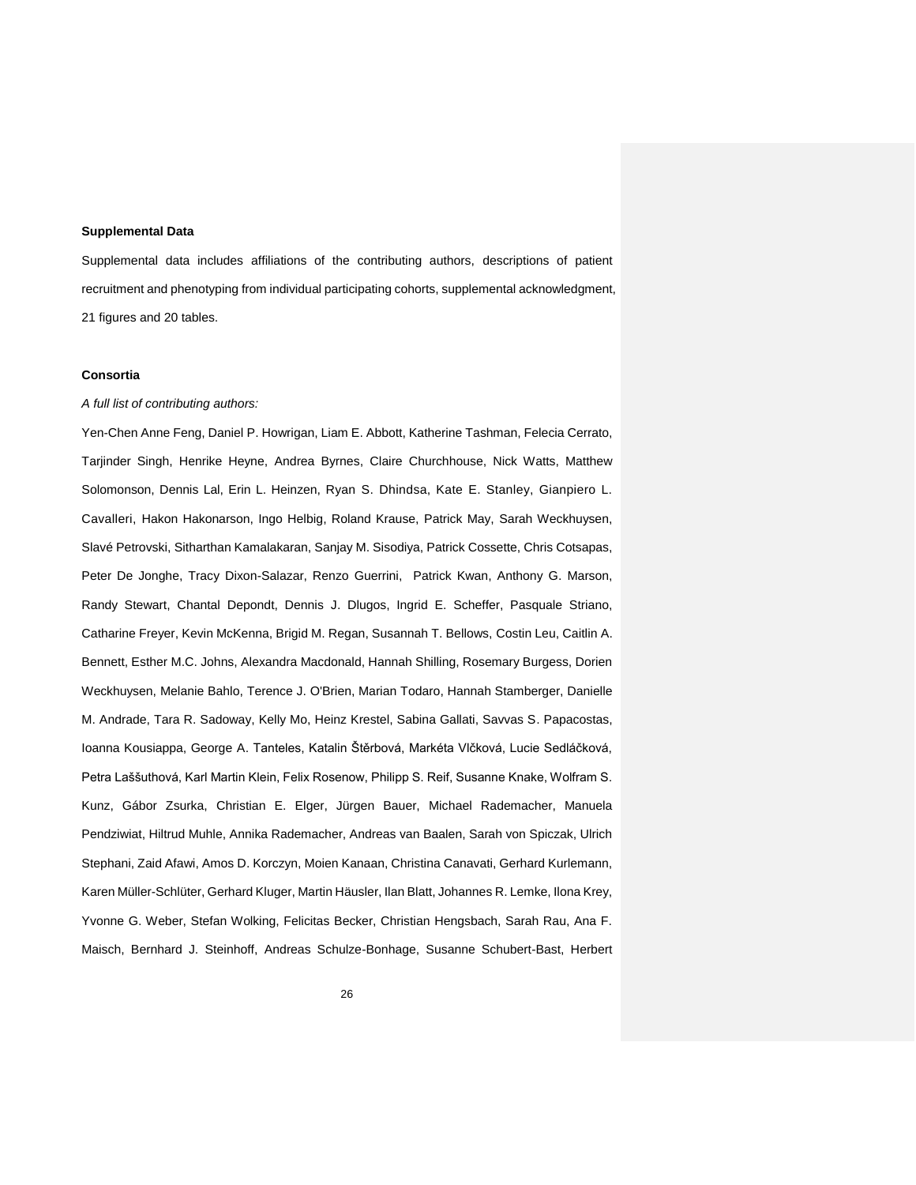### **Supplemental Data**

Supplemental data includes affiliations of the contributing authors, descriptions of patient recruitment and phenotyping from individual participating cohorts, supplemental acknowledgment, 21 figures and 20 tables.

## **Consortia**

## *A full list of contributing authors:*

Yen-Chen Anne Feng, Daniel P. Howrigan, Liam E. Abbott, Katherine Tashman, Felecia Cerrato, Tarjinder Singh, Henrike Heyne, Andrea Byrnes, Claire Churchhouse, Nick Watts, Matthew Solomonson, Dennis Lal, Erin L. Heinzen, Ryan S. Dhindsa, Kate E. Stanley, Gianpiero L. Cavalleri, Hakon Hakonarson, Ingo Helbig, Roland Krause, Patrick May, Sarah Weckhuysen, Slavé Petrovski, Sitharthan Kamalakaran, Sanjay M. Sisodiya, Patrick Cossette, Chris Cotsapas, Peter De Jonghe, Tracy Dixon-Salazar, Renzo Guerrini, Patrick Kwan, Anthony G. Marson, Randy Stewart, Chantal Depondt, Dennis J. Dlugos, Ingrid E. Scheffer, Pasquale Striano, Catharine Freyer, Kevin McKenna, Brigid M. Regan, Susannah T. Bellows, Costin Leu, Caitlin A. Bennett, Esther M.C. Johns, Alexandra Macdonald, Hannah Shilling, Rosemary Burgess, Dorien Weckhuysen, Melanie Bahlo, Terence J. O'Brien, Marian Todaro, Hannah Stamberger, Danielle M. Andrade, Tara R. Sadoway, Kelly Mo, Heinz Krestel, Sabina Gallati, Savvas S. Papacostas, Ioanna Kousiappa, George A. Tanteles, Katalin Štěrbová, Markéta Vlčková, Lucie Sedláčková, Petra Laššuthová, Karl Martin Klein, Felix Rosenow, Philipp S. Reif, Susanne Knake, Wolfram S. Kunz, Gábor Zsurka, Christian E. Elger, Jürgen Bauer, Michael Rademacher, Manuela Pendziwiat, Hiltrud Muhle, Annika Rademacher, Andreas van Baalen, Sarah von Spiczak, Ulrich Stephani, Zaid Afawi, Amos D. Korczyn, Moien Kanaan, Christina Canavati, Gerhard Kurlemann, Karen Müller-Schlüter, Gerhard Kluger, Martin Häusler, Ilan Blatt, Johannes R. Lemke, Ilona Krey, Yvonne G. Weber, Stefan Wolking, Felicitas Becker, Christian Hengsbach, Sarah Rau, Ana F. Maisch, Bernhard J. Steinhoff, Andreas Schulze-Bonhage, Susanne Schubert-Bast, Herbert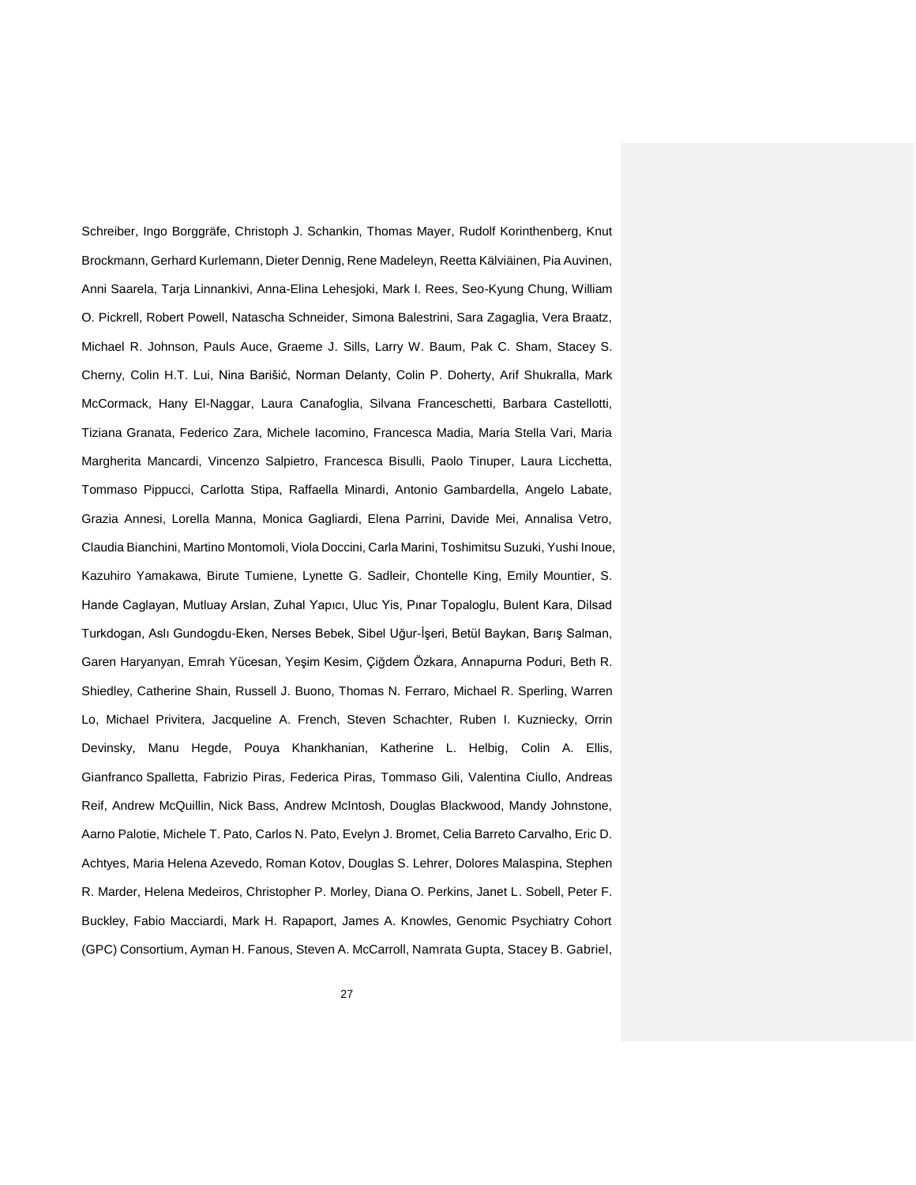Schreiber, Ingo Borggräfe, Christoph J. Schankin, Thomas Mayer, Rudolf Korinthenberg, Knut Brockmann, Gerhard Kurlemann, Dieter Dennig, Rene Madeleyn, Reetta Kälviäinen, Pia Auvinen, Anni Saarela, Tarja Linnankivi, Anna-Elina Lehesjoki, Mark I. Rees, Seo-Kyung Chung, William O. Pickrell, Robert Powell, Natascha Schneider, Simona Balestrini, Sara Zagaglia, Vera Braatz, Michael R. Johnson, Pauls Auce, Graeme J. Sills, Larry W. Baum, Pak C. Sham, Stacey S. Cherny, Colin H.T. Lui, Nina Barišić, Norman Delanty, Colin P. Doherty, Arif Shukralla, Mark McCormack, Hany El-Naggar, Laura Canafoglia, Silvana Franceschetti, Barbara Castellotti, Tiziana Granata, Federico Zara, Michele Iacomino, Francesca Madia, Maria Stella Vari, Maria Margherita Mancardi, Vincenzo Salpietro, Francesca Bisulli, Paolo Tinuper, Laura Licchetta, Tommaso Pippucci, Carlotta Stipa, Raffaella Minardi, Antonio Gambardella, Angelo Labate, Grazia Annesi, Lorella Manna, Monica Gagliardi, Elena Parrini, Davide Mei, Annalisa Vetro, Claudia Bianchini, Martino Montomoli, Viola Doccini, Carla Marini, Toshimitsu Suzuki, Yushi Inoue, Kazuhiro Yamakawa, Birute Tumiene, Lynette G. Sadleir, Chontelle King, Emily Mountier, S. Hande Caglayan, Mutluay Arslan, Zuhal Yapıcı, Uluc Yis, Pınar Topaloglu, Bulent Kara, Dilsad Turkdogan, Aslı Gundogdu-Eken, Nerses Bebek, Sibel Uğur-İşeri, Betül Baykan, Barış Salman, Garen Haryanyan, Emrah Yücesan, Yeşim Kesim, Çiğdem Özkara, Annapurna Poduri, Beth R. Shiedley, Catherine Shain, Russell J. Buono, Thomas N. Ferraro, Michael R. Sperling, Warren Lo, Michael Privitera, Jacqueline A. French, Steven Schachter, Ruben I. Kuzniecky, Orrin Devinsky, Manu Hegde, Pouya Khankhanian, Katherine L. Helbig, Colin A. Ellis, Gianfranco Spalletta, Fabrizio Piras, Federica Piras, Tommaso Gili, Valentina Ciullo, Andreas Reif, Andrew McQuillin, Nick Bass, Andrew McIntosh, Douglas Blackwood, Mandy Johnstone, Aarno Palotie, Michele T. Pato, Carlos N. Pato, Evelyn J. Bromet, Celia Barreto Carvalho, Eric D. Achtyes, Maria Helena Azevedo, Roman Kotov, Douglas S. Lehrer, Dolores Malaspina, Stephen R. Marder, Helena Medeiros, Christopher P. Morley, Diana O. Perkins, Janet L. Sobell, Peter F. Buckley, Fabio Macciardi, Mark H. Rapaport, James A. Knowles, Genomic Psychiatry Cohort (GPC) Consortium, Ayman H. Fanous, Steven A. McCarroll, Namrata Gupta, Stacey B. Gabriel,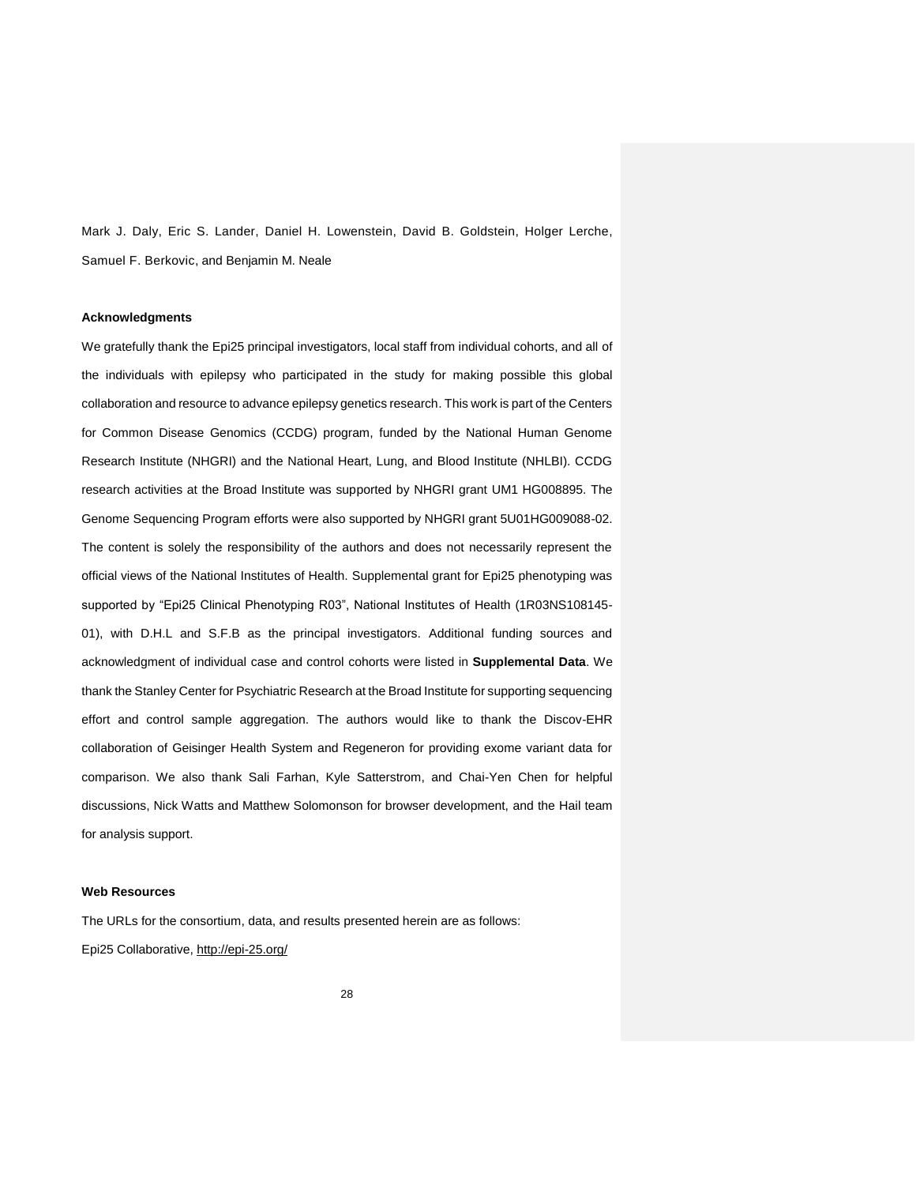Mark J. Daly, Eric S. Lander, Daniel H. Lowenstein, David B. Goldstein, Holger Lerche, Samuel F. Berkovic, and Benjamin M. Neale

## **Acknowledgments**

We gratefully thank the Epi25 principal investigators, local staff from individual cohorts, and all of the individuals with epilepsy who participated in the study for making possible this global collaboration and resource to advance epilepsy genetics research. This work is part of the Centers for Common Disease Genomics (CCDG) program, funded by the National Human Genome Research Institute (NHGRI) and the National Heart, Lung, and Blood Institute (NHLBI). CCDG research activities at the Broad Institute was supported by NHGRI grant UM1 HG008895. The Genome Sequencing Program efforts were also supported by NHGRI grant 5U01HG009088-02. The content is solely the responsibility of the authors and does not necessarily represent the official views of the National Institutes of Health. Supplemental grant for Epi25 phenotyping was supported by "Epi25 Clinical Phenotyping R03", National Institutes of Health (1R03NS108145- 01), with D.H.L and S.F.B as the principal investigators. Additional funding sources and acknowledgment of individual case and control cohorts were listed in **Supplemental Data**. We thank the Stanley Center for Psychiatric Research at the Broad Institute for supporting sequencing effort and control sample aggregation. The authors would like to thank the Discov-EHR collaboration of Geisinger Health System and Regeneron for providing exome variant data for comparison. We also thank Sali Farhan, Kyle Satterstrom, and Chai-Yen Chen for helpful discussions, Nick Watts and Matthew Solomonson for browser development, and the Hail team for analysis support.

#### **Web Resources**

The URLs for the consortium, data, and results presented herein are as follows: Epi25 Collaborative,<http://epi-25.org/>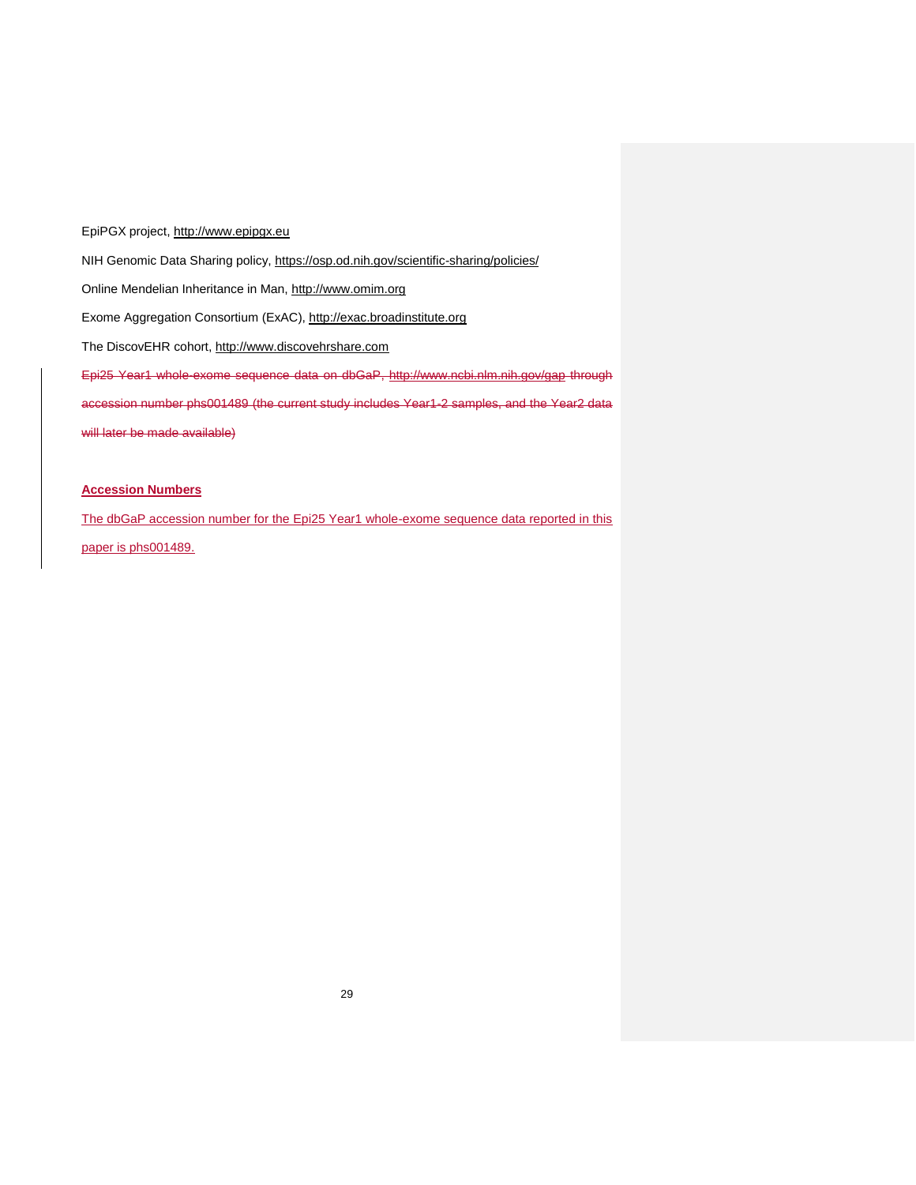EpiPGX project, [http://www.epipgx.eu](http://www.epipgx.eu/) NIH Genomic Data Sharing policy,<https://osp.od.nih.gov/scientific-sharing/policies/> Online Mendelian Inheritance in Man, [http://www.omim.org](http://www.omim.org/) Exome Aggregation Consortium (ExAC), [http://exac.broadinstitute.org](http://exac.broadinstitute.org/) The DiscovEHR cohort, [http://www.discovehrshare.com](http://www.discovehrshare.com/) Epi25 Year1 whole-exome sequence data on dbGaP, http://www.ncbi.nlm.nih.gov/gap through accession number phs001489 (the current study includes Year1-2 samples, and the Year2 data will later be made available)

## **Accession Numbers**

The dbGaP accession number for the Epi25 Year1 whole-exome sequence data reported in this paper is phs001489.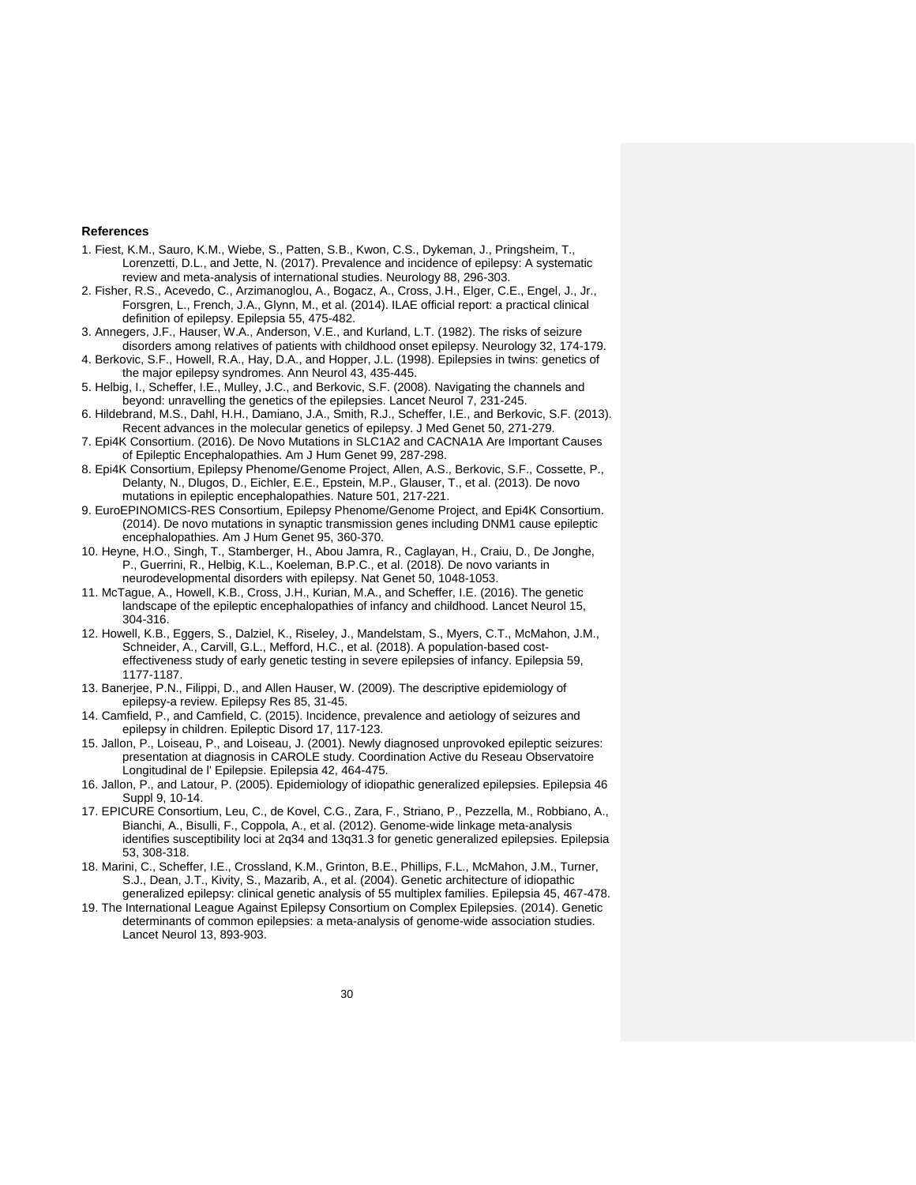#### **References**

- <span id="page-29-0"></span>1. Fiest, K.M., Sauro, K.M., Wiebe, S., Patten, S.B., Kwon, C.S., Dykeman, J., Pringsheim, T., Lorenzetti, D.L., and Jette, N. (2017). Prevalence and incidence of epilepsy: A systematic review and meta-analysis of international studies. Neurology 88, 296-303.
- <span id="page-29-1"></span>2. Fisher, R.S., Acevedo, C., Arzimanoglou, A., Bogacz, A., Cross, J.H., Elger, C.E., Engel, J., Jr., Forsgren, L., French, J.A., Glynn, M., et al. (2014). ILAE official report: a practical clinical definition of epilepsy. Epilepsia 55, 475-482.
- <span id="page-29-2"></span>3. Annegers, J.F., Hauser, W.A., Anderson, V.E., and Kurland, L.T. (1982). The risks of seizure
- <span id="page-29-8"></span>disorders among relatives of patients with childhood onset epilepsy. Neurology 32, 174-179. 4. Berkovic, S.F., Howell, R.A., Hay, D.A., and Hopper, J.L. (1998). Epilepsies in twins: genetics of the major epilepsy syndromes. Ann Neurol 43, 435-445.
- <span id="page-29-7"></span>5. Helbig, I., Scheffer, I.E., Mulley, J.C., and Berkovic, S.F. (2008). Navigating the channels and beyond: unravelling the genetics of the epilepsies. Lancet Neurol 7, 231-245.
- 6. Hildebrand, M.S., Dahl, H.H., Damiano, J.A., Smith, R.J., Scheffer, I.E., and Berkovic, S.F. (2013). Recent advances in the molecular genetics of epilepsy. J Med Genet 50, 271-279.
- <span id="page-29-3"></span>7. Epi4K Consortium. (2016). De Novo Mutations in SLC1A2 and CACNA1A Are Important Causes of Epileptic Encephalopathies. Am J Hum Genet 99, 287-298.
- <span id="page-29-11"></span>8. Epi4K Consortium, Epilepsy Phenome/Genome Project, Allen, A.S., Berkovic, S.F., Cossette, P., Delanty, N., Dlugos, D., Eichler, E.E., Epstein, M.P., Glauser, T., et al. (2013). De novo mutations in epileptic encephalopathies. Nature 501, 217-221.
- 9. EuroEPINOMICS-RES Consortium, Epilepsy Phenome/Genome Project, and Epi4K Consortium. (2014). De novo mutations in synaptic transmission genes including DNM1 cause epileptic encephalopathies. Am J Hum Genet 95, 360-370.
- <span id="page-29-10"></span>10. Heyne, H.O., Singh, T., Stamberger, H., Abou Jamra, R., Caglayan, H., Craiu, D., De Jonghe, P., Guerrini, R., Helbig, K.L., Koeleman, B.P.C., et al. (2018). De novo variants in neurodevelopmental disorders with epilepsy. Nat Genet 50, 1048-1053.
- 11. McTague, A., Howell, K.B., Cross, J.H., Kurian, M.A., and Scheffer, I.E. (2016). The genetic landscape of the epileptic encephalopathies of infancy and childhood. Lancet Neurol 15, 304-316.
- <span id="page-29-4"></span>12. Howell, K.B., Eggers, S., Dalziel, K., Riseley, J., Mandelstam, S., Myers, C.T., McMahon, J.M., Schneider, A., Carvill, G.L., Mefford, H.C., et al. (2018). A population-based costeffectiveness study of early genetic testing in severe epilepsies of infancy. Epilepsia 59, 1177-1187.
- <span id="page-29-5"></span>13. Banerjee, P.N., Filippi, D., and Allen Hauser, W. (2009). The descriptive epidemiology of epilepsy-a review. Epilepsy Res 85, 31-45.
- 14. Camfield, P., and Camfield, C. (2015). Incidence, prevalence and aetiology of seizures and epilepsy in children. Epileptic Disord 17, 117-123.
- 15. Jallon, P., Loiseau, P., and Loiseau, J. (2001). Newly diagnosed unprovoked epileptic seizures: presentation at diagnosis in CAROLE study. Coordination Active du Reseau Observatoire Longitudinal de l' Epilepsie. Epilepsia 42, 464-475.
- 16. Jallon, P., and Latour, P. (2005). Epidemiology of idiopathic generalized epilepsies. Epilepsia 46 Suppl 9, 10-14.
- <span id="page-29-6"></span>17. EPICURE Consortium, Leu, C., de Kovel, C.G., Zara, F., Striano, P., Pezzella, M., Robbiano, A., Bianchi, A., Bisulli, F., Coppola, A., et al. (2012). Genome-wide linkage meta-analysis identifies susceptibility loci at 2q34 and 13q31.3 for genetic generalized epilepsies. Epilepsia 53, 308-318.
- 18. Marini, C., Scheffer, I.E., Crossland, K.M., Grinton, B.E., Phillips, F.L., McMahon, J.M., Turner, S.J., Dean, J.T., Kivity, S., Mazarib, A., et al. (2004). Genetic architecture of idiopathic generalized epilepsy: clinical genetic analysis of 55 multiplex families. Epilepsia 45, 467-478.
- <span id="page-29-9"></span>19. The International League Against Epilepsy Consortium on Complex Epilepsies. (2014). Genetic determinants of common epilepsies: a meta-analysis of genome-wide association studies. Lancet Neurol 13, 893-903.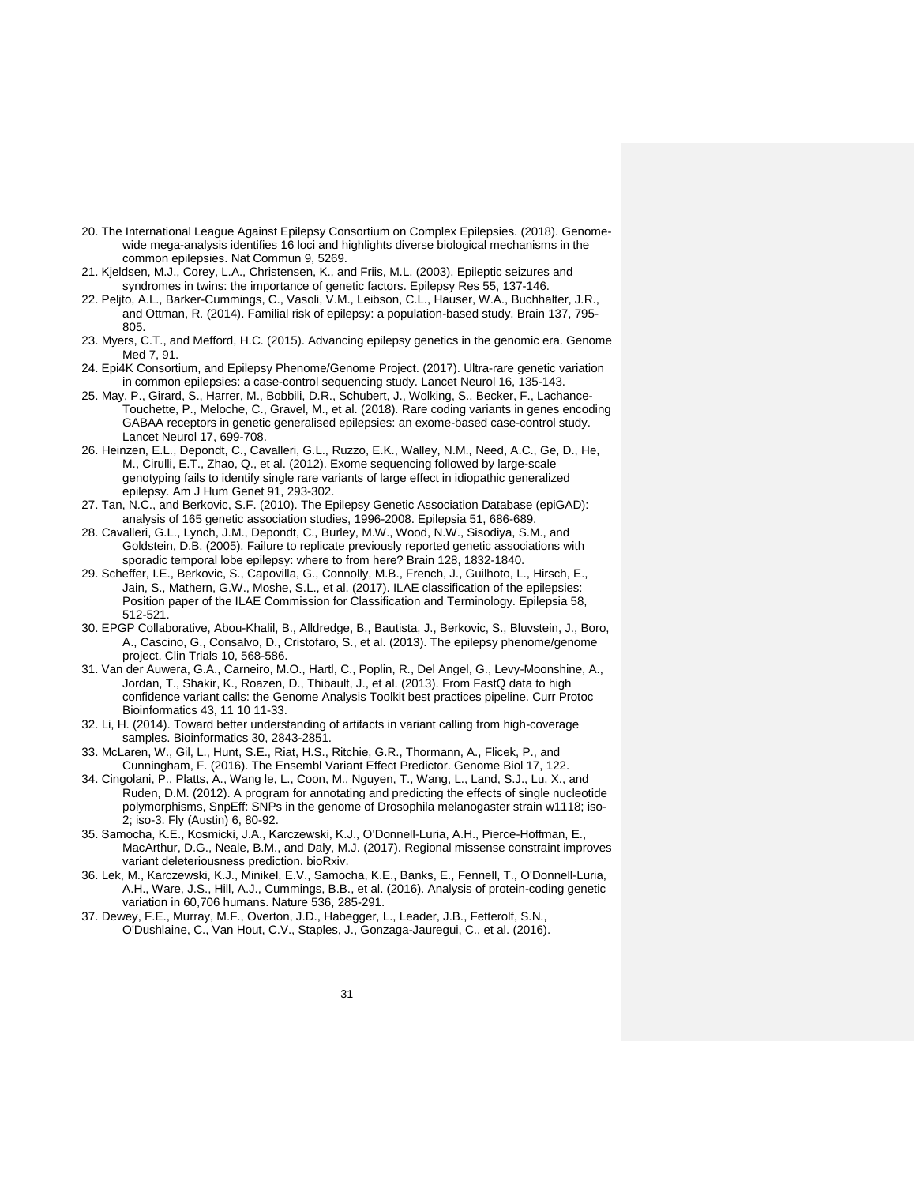- <span id="page-30-13"></span>20. The International League Against Epilepsy Consortium on Complex Epilepsies. (2018). Genomewide mega-analysis identifies 16 loci and highlights diverse biological mechanisms in the common epilepsies. Nat Commun 9, 5269.
- 21. Kjeldsen, M.J., Corey, L.A., Christensen, K., and Friis, M.L. (2003). Epileptic seizures and syndromes in twins: the importance of genetic factors. Epilepsy Res 55, 137-146.
- <span id="page-30-14"></span>22. Peljto, A.L., Barker-Cummings, C., Vasoli, V.M., Leibson, C.L., Hauser, W.A., Buchhalter, J.R., and Ottman, R. (2014). Familial risk of epilepsy: a population-based study. Brain 137, 795- 805.
- <span id="page-30-0"></span>23. Myers, C.T., and Mefford, H.C. (2015). Advancing epilepsy genetics in the genomic era. Genome Med 7, 91.
- <span id="page-30-2"></span>24. Epi4K Consortium, and Epilepsy Phenome/Genome Project. (2017). Ultra-rare genetic variation in common epilepsies: a case-control sequencing study. Lancet Neurol 16, 135-143.
- <span id="page-30-3"></span>25. May, P., Girard, S., Harrer, M., Bobbili, D.R., Schubert, J., Wolking, S., Becker, F., Lachance-Touchette, P., Meloche, C., Gravel, M., et al. (2018). Rare coding variants in genes encoding GABAA receptors in genetic generalised epilepsies: an exome-based case-control study. Lancet Neurol 17, 699-708.
- <span id="page-30-1"></span>26. Heinzen, E.L., Depondt, C., Cavalleri, G.L., Ruzzo, E.K., Walley, N.M., Need, A.C., Ge, D., He, M., Cirulli, E.T., Zhao, Q., et al. (2012). Exome sequencing followed by large-scale genotyping fails to identify single rare variants of large effect in idiopathic generalized epilepsy. Am J Hum Genet 91, 293-302.
- 27. Tan, N.C., and Berkovic, S.F. (2010). The Epilepsy Genetic Association Database (epiGAD): analysis of 165 genetic association studies, 1996-2008. Epilepsia 51, 686-689.
- 28. Cavalleri, G.L., Lynch, J.M., Depondt, C., Burley, M.W., Wood, N.W., Sisodiya, S.M., and Goldstein, D.B. (2005). Failure to replicate previously reported genetic associations with sporadic temporal lobe epilepsy: where to from here? Brain 128, 1832-1840.
- <span id="page-30-4"></span>29. Scheffer, I.E., Berkovic, S., Capovilla, G., Connolly, M.B., French, J., Guilhoto, L., Hirsch, E., Jain, S., Mathern, G.W., Moshe, S.L., et al. (2017). ILAE classification of the epilepsies: Position paper of the ILAE Commission for Classification and Terminology. Epilepsia 58, 512-521.
- <span id="page-30-5"></span>30. EPGP Collaborative, Abou-Khalil, B., Alldredge, B., Bautista, J., Berkovic, S., Bluvstein, J., Boro, A., Cascino, G., Consalvo, D., Cristofaro, S., et al. (2013). The epilepsy phenome/genome project. Clin Trials 10, 568-586.
- <span id="page-30-6"></span>31. Van der Auwera, G.A., Carneiro, M.O., Hartl, C., Poplin, R., Del Angel, G., Levy-Moonshine, A., Jordan, T., Shakir, K., Roazen, D., Thibault, J., et al. (2013). From FastQ data to high confidence variant calls: the Genome Analysis Toolkit best practices pipeline. Curr Protoc Bioinformatics 43, 11 10 11-33.
- <span id="page-30-7"></span>32. Li, H. (2014). Toward better understanding of artifacts in variant calling from high-coverage samples. Bioinformatics 30, 2843-2851.
- <span id="page-30-8"></span>33. McLaren, W., Gil, L., Hunt, S.E., Riat, H.S., Ritchie, G.R., Thormann, A., Flicek, P., and Cunningham, F. (2016). The Ensembl Variant Effect Predictor. Genome Biol 17, 122.
- <span id="page-30-9"></span>34. Cingolani, P., Platts, A., Wang le, L., Coon, M., Nguyen, T., Wang, L., Land, S.J., Lu, X., and Ruden, D.M. (2012). A program for annotating and predicting the effects of single nucleotide polymorphisms, SnpEff: SNPs in the genome of Drosophila melanogaster strain w1118; iso-2; iso-3. Fly (Austin) 6, 80-92.
- <span id="page-30-10"></span>35. Samocha, K.E., Kosmicki, J.A., Karczewski, K.J., O'Donnell-Luria, A.H., Pierce-Hoffman, E., MacArthur, D.G., Neale, B.M., and Daly, M.J. (2017). Regional missense constraint improves variant deleteriousness prediction. bioRxiv.
- <span id="page-30-11"></span>36. Lek, M., Karczewski, K.J., Minikel, E.V., Samocha, K.E., Banks, E., Fennell, T., O'Donnell-Luria, A.H., Ware, J.S., Hill, A.J., Cummings, B.B., et al. (2016). Analysis of protein-coding genetic variation in 60,706 humans. Nature 536, 285-291.
- <span id="page-30-12"></span>37. Dewey, F.E., Murray, M.F., Overton, J.D., Habegger, L., Leader, J.B., Fetterolf, S.N., O'Dushlaine, C., Van Hout, C.V., Staples, J., Gonzaga-Jauregui, C., et al. (2016).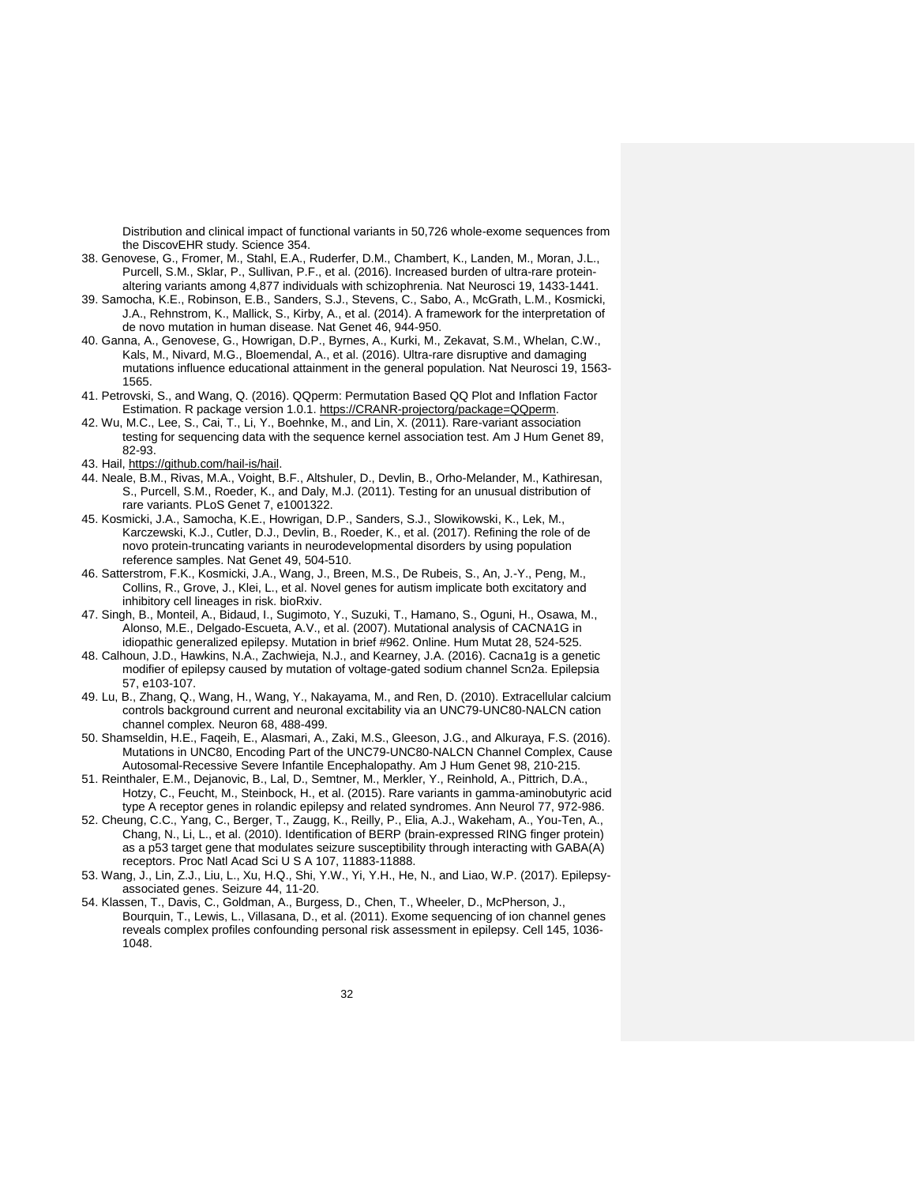Distribution and clinical impact of functional variants in 50,726 whole-exome sequences from the DiscovEHR study. Science 354.

- <span id="page-31-0"></span>38. Genovese, G., Fromer, M., Stahl, E.A., Ruderfer, D.M., Chambert, K., Landen, M., Moran, J.L., Purcell, S.M., Sklar, P., Sullivan, P.F., et al. (2016). Increased burden of ultra-rare proteinaltering variants among 4,877 individuals with schizophrenia. Nat Neurosci 19, 1433-1441.
- <span id="page-31-1"></span>39. Samocha, K.E., Robinson, E.B., Sanders, S.J., Stevens, C., Sabo, A., McGrath, L.M., Kosmicki, J.A., Rehnstrom, K., Mallick, S., Kirby, A., et al. (2014). A framework for the interpretation of de novo mutation in human disease. Nat Genet 46, 944-950.
- <span id="page-31-2"></span>40. Ganna, A., Genovese, G., Howrigan, D.P., Byrnes, A., Kurki, M., Zekavat, S.M., Whelan, C.W., Kals, M., Nivard, M.G., Bloemendal, A., et al. (2016). Ultra-rare disruptive and damaging mutations influence educational attainment in the general population. Nat Neurosci 19, 1563- 1565.
- <span id="page-31-3"></span>41. Petrovski, S., and Wang, Q. (2016). QQperm: Permutation Based QQ Plot and Inflation Factor Estimation. R package version 1.0.1. [https://CRANR-projectorg/package=QQperm.](https://cranr-projectorg/package=QQperm)
- <span id="page-31-4"></span>42. Wu, M.C., Lee, S., Cai, T., Li, Y., Boehnke, M., and Lin, X. (2011). Rare-variant association testing for sequencing data with the sequence kernel association test. Am J Hum Genet 89, 82-93.
- <span id="page-31-5"></span>43. Hail, [https://github.com/hail-is/hail.](https://github.com/hail-is/hail)
- <span id="page-31-6"></span>44. Neale, B.M., Rivas, M.A., Voight, B.F., Altshuler, D., Devlin, B., Orho-Melander, M., Kathiresan, S., Purcell, S.M., Roeder, K., and Daly, M.J. (2011). Testing for an unusual distribution of rare variants. PLoS Genet 7, e1001322.
- <span id="page-31-7"></span>45. Kosmicki, J.A., Samocha, K.E., Howrigan, D.P., Sanders, S.J., Slowikowski, K., Lek, M., Karczewski, K.J., Cutler, D.J., Devlin, B., Roeder, K., et al. (2017). Refining the role of de novo protein-truncating variants in neurodevelopmental disorders by using population reference samples. Nat Genet 49, 504-510.
- <span id="page-31-8"></span>46. Satterstrom, F.K., Kosmicki, J.A., Wang, J., Breen, M.S., De Rubeis, S., An, J.-Y., Peng, M., Collins, R., Grove, J., Klei, L., et al. Novel genes for autism implicate both excitatory and inhibitory cell lineages in risk. bioRxiv.
- <span id="page-31-9"></span>47. Singh, B., Monteil, A., Bidaud, I., Sugimoto, Y., Suzuki, T., Hamano, S., Oguni, H., Osawa, M., Alonso, M.E., Delgado-Escueta, A.V., et al. (2007). Mutational analysis of CACNA1G in idiopathic generalized epilepsy. Mutation in brief #962. Online. Hum Mutat 28, 524-525.
- <span id="page-31-10"></span>48. Calhoun, J.D., Hawkins, N.A., Zachwieja, N.J., and Kearney, J.A. (2016). Cacna1g is a genetic modifier of epilepsy caused by mutation of voltage-gated sodium channel Scn2a. Epilepsia 57, e103-107.
- <span id="page-31-11"></span>49. Lu, B., Zhang, Q., Wang, H., Wang, Y., Nakayama, M., and Ren, D. (2010). Extracellular calcium controls background current and neuronal excitability via an UNC79-UNC80-NALCN cation channel complex. Neuron 68, 488-499.
- <span id="page-31-12"></span>50. Shamseldin, H.E., Faqeih, E., Alasmari, A., Zaki, M.S., Gleeson, J.G., and Alkuraya, F.S. (2016). Mutations in UNC80, Encoding Part of the UNC79-UNC80-NALCN Channel Complex, Cause Autosomal-Recessive Severe Infantile Encephalopathy. Am J Hum Genet 98, 210-215.
- <span id="page-31-13"></span>51. Reinthaler, E.M., Dejanovic, B., Lal, D., Semtner, M., Merkler, Y., Reinhold, A., Pittrich, D.A., Hotzy, C., Feucht, M., Steinbock, H., et al. (2015). Rare variants in gamma-aminobutyric acid type A receptor genes in rolandic epilepsy and related syndromes. Ann Neurol 77, 972-986.
- <span id="page-31-14"></span>52. Cheung, C.C., Yang, C., Berger, T., Zaugg, K., Reilly, P., Elia, A.J., Wakeham, A., You-Ten, A., Chang, N., Li, L., et al. (2010). Identification of BERP (brain-expressed RING finger protein) as a p53 target gene that modulates seizure susceptibility through interacting with GABA(A) receptors. Proc Natl Acad Sci U S A 107, 11883-11888.
- <span id="page-31-15"></span>53. Wang, J., Lin, Z.J., Liu, L., Xu, H.Q., Shi, Y.W., Yi, Y.H., He, N., and Liao, W.P. (2017). Epilepsyassociated genes. Seizure 44, 11-20.
- <span id="page-31-16"></span>54. Klassen, T., Davis, C., Goldman, A., Burgess, D., Chen, T., Wheeler, D., McPherson, J., Bourquin, T., Lewis, L., Villasana, D., et al. (2011). Exome sequencing of ion channel genes reveals complex profiles confounding personal risk assessment in epilepsy. Cell 145, 1036- 1048.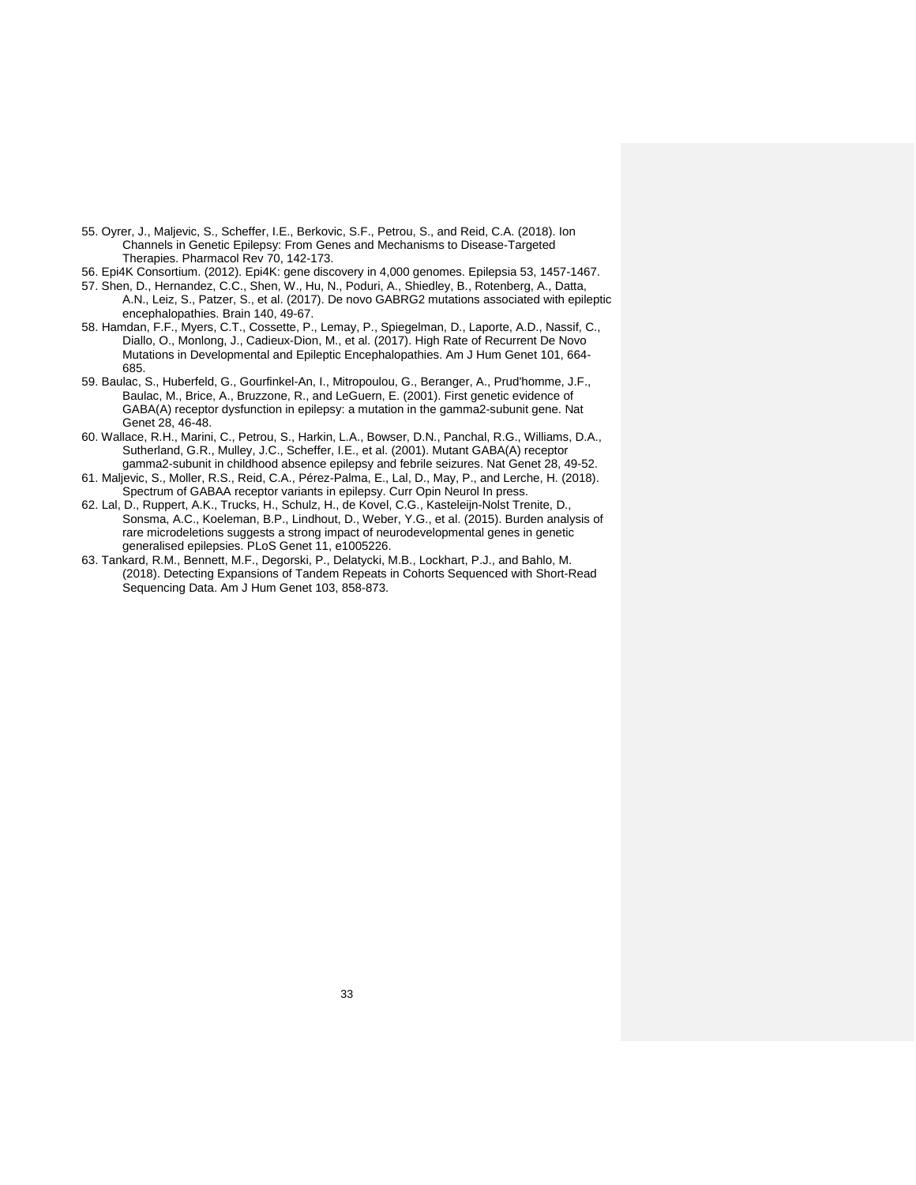- <span id="page-32-0"></span>55. Oyrer, J., Maljevic, S., Scheffer, I.E., Berkovic, S.F., Petrou, S., and Reid, C.A. (2018). Ion Channels in Genetic Epilepsy: From Genes and Mechanisms to Disease-Targeted Therapies. Pharmacol Rev 70, 142-173.
- <span id="page-32-1"></span>56. Epi4K Consortium. (2012). Epi4K: gene discovery in 4,000 genomes. Epilepsia 53, 1457-1467.
- <span id="page-32-2"></span>57. Shen, D., Hernandez, C.C., Shen, W., Hu, N., Poduri, A., Shiedley, B., Rotenberg, A., Datta, A.N., Leiz, S., Patzer, S., et al. (2017). De novo GABRG2 mutations associated with epileptic encephalopathies. Brain 140, 49-67.
- <span id="page-32-3"></span>58. Hamdan, F.F., Myers, C.T., Cossette, P., Lemay, P., Spiegelman, D., Laporte, A.D., Nassif, C., Diallo, O., Monlong, J., Cadieux-Dion, M., et al. (2017). High Rate of Recurrent De Novo Mutations in Developmental and Epileptic Encephalopathies. Am J Hum Genet 101, 664- 685.
- <span id="page-32-4"></span>59. Baulac, S., Huberfeld, G., Gourfinkel-An, I., Mitropoulou, G., Beranger, A., Prud'homme, J.F., Baulac, M., Brice, A., Bruzzone, R., and LeGuern, E. (2001). First genetic evidence of GABA(A) receptor dysfunction in epilepsy: a mutation in the gamma2-subunit gene. Nat Genet 28, 46-48.
- 60. Wallace, R.H., Marini, C., Petrou, S., Harkin, L.A., Bowser, D.N., Panchal, R.G., Williams, D.A., Sutherland, G.R., Mulley, J.C., Scheffer, I.E., et al. (2001). Mutant GABA(A) receptor gamma2-subunit in childhood absence epilepsy and febrile seizures. Nat Genet 28, 49-52.
- <span id="page-32-5"></span>61. Maljevic, S., Moller, R.S., Reid, C.A., Pérez-Palma, E., Lal, D., May, P., and Lerche, H. (2018). Spectrum of GABAA receptor variants in epilepsy. Curr Opin Neurol In press.
- <span id="page-32-6"></span>62. Lal, D., Ruppert, A.K., Trucks, H., Schulz, H., de Kovel, C.G., Kasteleijn-Nolst Trenite, D., Sonsma, A.C., Koeleman, B.P., Lindhout, D., Weber, Y.G., et al. (2015). Burden analysis of rare microdeletions suggests a strong impact of neurodevelopmental genes in genetic generalised epilepsies. PLoS Genet 11, e1005226.
- <span id="page-32-7"></span>63. Tankard, R.M., Bennett, M.F., Degorski, P., Delatycki, M.B., Lockhart, P.J., and Bahlo, M. (2018). Detecting Expansions of Tandem Repeats in Cohorts Sequenced with Short-Read Sequencing Data. Am J Hum Genet 103, 858-873.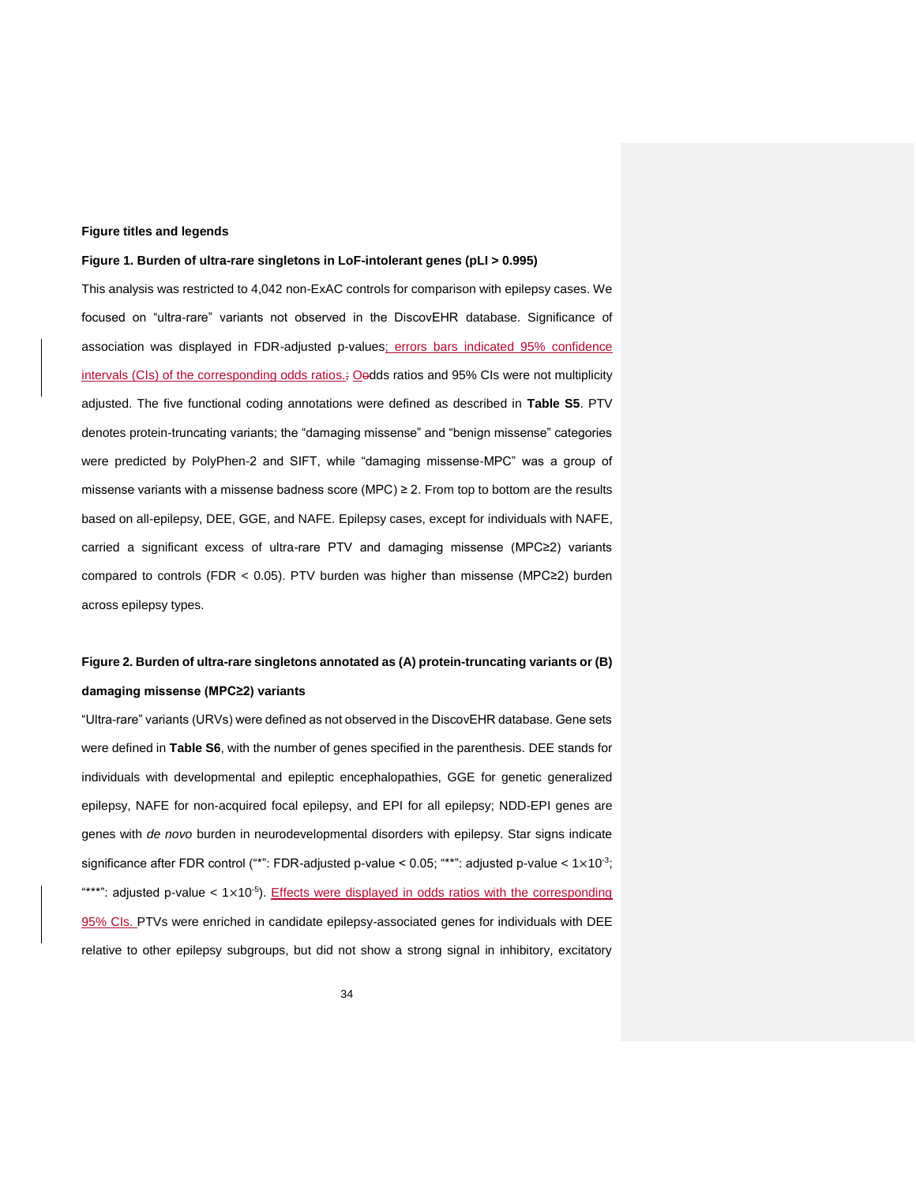## **Figure titles and legends**

#### **Figure 1. Burden of ultra-rare singletons in LoF-intolerant genes (pLI > 0.995)**

This analysis was restricted to 4,042 non-ExAC controls for comparison with epilepsy cases. We focused on "ultra-rare" variants not observed in the DiscovEHR database. Significance of association was displayed in FDR-adjusted p-values; errors bars indicated 95% confidence intervals (CIs) of the corresponding odds ratios.; Oodds ratios and 95% CIs were not multiplicity adjusted. The five functional coding annotations were defined as described in **Table S5**. PTV denotes protein-truncating variants; the "damaging missense" and "benign missense" categories were predicted by PolyPhen-2 and SIFT, while "damaging missense-MPC" was a group of missense variants with a missense badness score (MPC)  $\geq$  2. From top to bottom are the results based on all-epilepsy, DEE, GGE, and NAFE. Epilepsy cases, except for individuals with NAFE, carried a significant excess of ultra-rare PTV and damaging missense (MPC≥2) variants compared to controls (FDR < 0.05). PTV burden was higher than missense (MPC≥2) burden across epilepsy types.

## **Figure 2. Burden of ultra-rare singletons annotated as (A) protein-truncating variants or (B) damaging missense (MPC≥2) variants**

"Ultra-rare" variants (URVs) were defined as not observed in the DiscovEHR database. Gene sets were defined in **Table S6**, with the number of genes specified in the parenthesis. DEE stands for individuals with developmental and epileptic encephalopathies, GGE for genetic generalized epilepsy, NAFE for non-acquired focal epilepsy, and EPI for all epilepsy; NDD-EPI genes are genes with *de novo* burden in neurodevelopmental disorders with epilepsy. Star signs indicate significance after FDR control ("\*": FDR-adjusted p-value <  $0.05$ ; "\*\*": adjusted p-value <  $1\times10^{-3}$ ;  $***$ ": adjusted p-value <  $1\times10^{-5}$ ). Effects were displayed in odds ratios with the corresponding 95% CIs. PTVs were enriched in candidate epilepsy-associated genes for individuals with DEE relative to other epilepsy subgroups, but did not show a strong signal in inhibitory, excitatory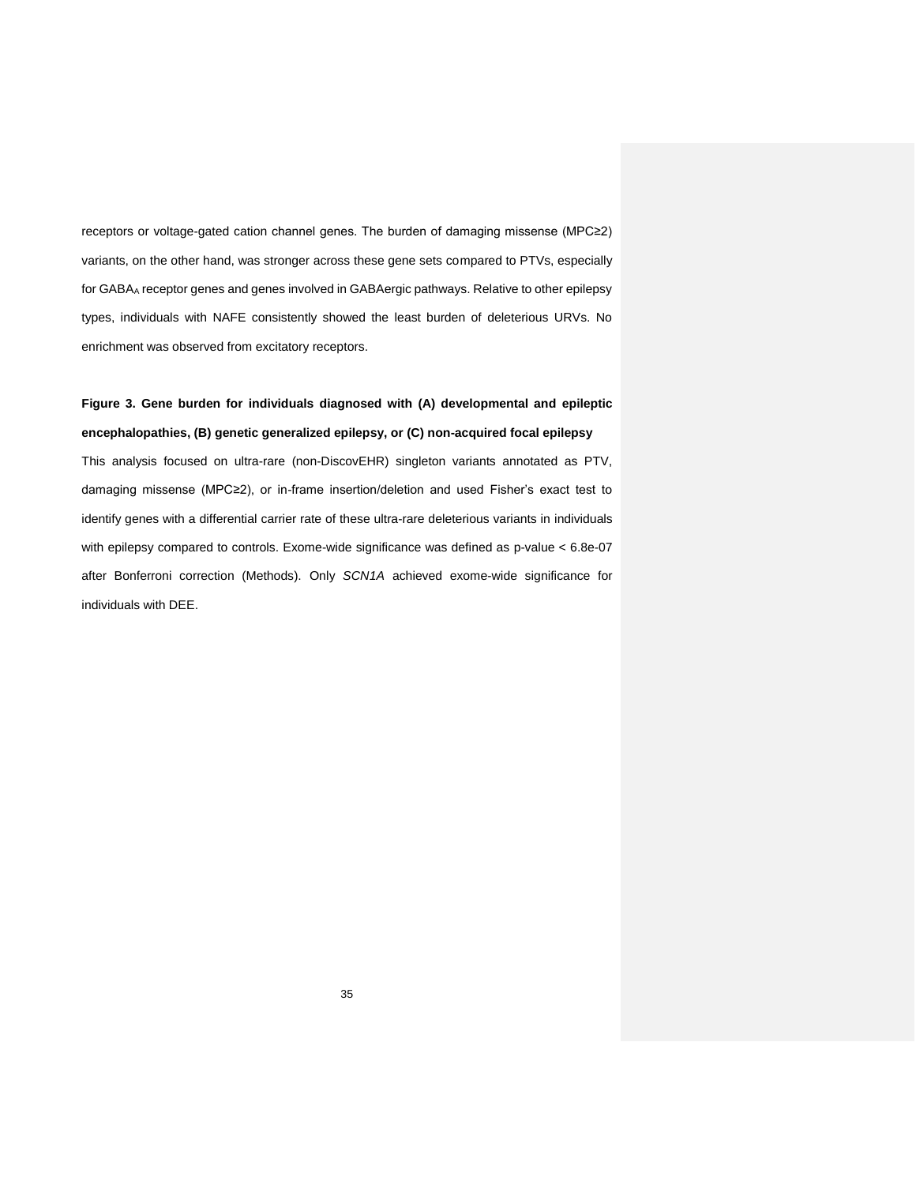receptors or voltage-gated cation channel genes. The burden of damaging missense (MPC≥2) variants, on the other hand, was stronger across these gene sets compared to PTVs, especially for GABA<sup>A</sup> receptor genes and genes involved in GABAergic pathways. Relative to other epilepsy types, individuals with NAFE consistently showed the least burden of deleterious URVs. No enrichment was observed from excitatory receptors.

# **Figure 3. Gene burden for individuals diagnosed with (A) developmental and epileptic encephalopathies, (B) genetic generalized epilepsy, or (C) non-acquired focal epilepsy**

This analysis focused on ultra-rare (non-DiscovEHR) singleton variants annotated as PTV, damaging missense (MPC≥2), or in-frame insertion/deletion and used Fisher's exact test to identify genes with a differential carrier rate of these ultra-rare deleterious variants in individuals with epilepsy compared to controls. Exome-wide significance was defined as p-value < 6.8e-07 after Bonferroni correction (Methods). Only *SCN1A* achieved exome-wide significance for individuals with DEE.